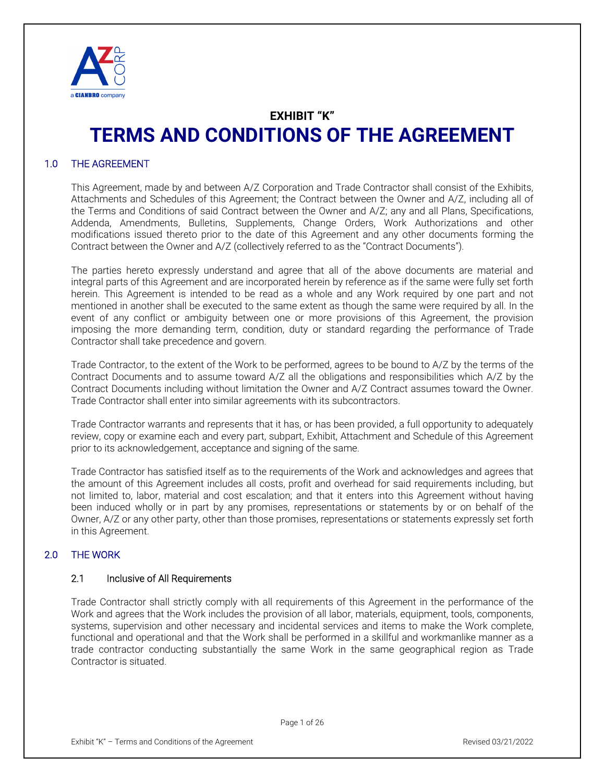

# **EXHIBIT "K" TERMS AND CONDITIONS OF THE AGREEMENT**

## 1.0 THE AGREEMENT

This Agreement, made by and between A/Z Corporation and Trade Contractor shall consist of the Exhibits, Attachments and Schedules of this Agreement; the Contract between the Owner and A/Z, including all of the Terms and Conditions of said Contract between the Owner and A/Z; any and all Plans, Specifications, Addenda, Amendments, Bulletins, Supplements, Change Orders, Work Authorizations and other modifications issued thereto prior to the date of this Agreement and any other documents forming the Contract between the Owner and A/Z (collectively referred to as the "Contract Documents").

The parties hereto expressly understand and agree that all of the above documents are material and integral parts of this Agreement and are incorporated herein by reference as if the same were fully set forth herein. This Agreement is intended to be read as a whole and any Work required by one part and not mentioned in another shall be executed to the same extent as though the same were required by all. In the event of any conflict or ambiguity between one or more provisions of this Agreement, the provision imposing the more demanding term, condition, duty or standard regarding the performance of Trade Contractor shall take precedence and govern.

Trade Contractor, to the extent of the Work to be performed, agrees to be bound to A/Z by the terms of the Contract Documents and to assume toward A/Z all the obligations and responsibilities which A/Z by the Contract Documents including without limitation the Owner and A/Z Contract assumes toward the Owner. Trade Contractor shall enter into similar agreements with its subcontractors.

Trade Contractor warrants and represents that it has, or has been provided, a full opportunity to adequately review, copy or examine each and every part, subpart, Exhibit, Attachment and Schedule of this Agreement prior to its acknowledgement, acceptance and signing of the same.

Trade Contractor has satisfied itself as to the requirements of the Work and acknowledges and agrees that the amount of this Agreement includes all costs, profit and overhead for said requirements including, but not limited to, labor, material and cost escalation; and that it enters into this Agreement without having been induced wholly or in part by any promises, representations or statements by or on behalf of the Owner, A/Z or any other party, other than those promises, representations or statements expressly set forth in this Agreement.

# 2.0 THE WORK

#### 2.1 Inclusive of All Requirements

Trade Contractor shall strictly comply with all requirements of this Agreement in the performance of the Work and agrees that the Work includes the provision of all labor, materials, equipment, tools, components, systems, supervision and other necessary and incidental services and items to make the Work complete, functional and operational and that the Work shall be performed in a skillful and workmanlike manner as a trade contractor conducting substantially the same Work in the same geographical region as Trade Contractor is situated.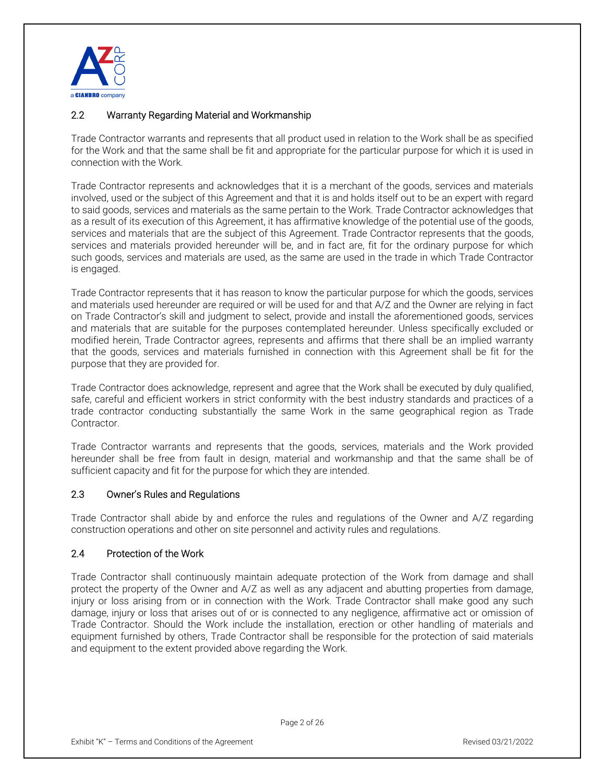

## 2.2 Warranty Regarding Material and Workmanship

Trade Contractor warrants and represents that all product used in relation to the Work shall be as specified for the Work and that the same shall be fit and appropriate for the particular purpose for which it is used in connection with the Work.

Trade Contractor represents and acknowledges that it is a merchant of the goods, services and materials involved, used or the subject of this Agreement and that it is and holds itself out to be an expert with regard to said goods, services and materials as the same pertain to the Work. Trade Contractor acknowledges that as a result of its execution of this Agreement, it has affirmative knowledge of the potential use of the goods, services and materials that are the subject of this Agreement. Trade Contractor represents that the goods, services and materials provided hereunder will be, and in fact are, fit for the ordinary purpose for which such goods, services and materials are used, as the same are used in the trade in which Trade Contractor is engaged.

Trade Contractor represents that it has reason to know the particular purpose for which the goods, services and materials used hereunder are required or will be used for and that A/Z and the Owner are relying in fact on Trade Contractor's skill and judgment to select, provide and install the aforementioned goods, services and materials that are suitable for the purposes contemplated hereunder. Unless specifically excluded or modified herein, Trade Contractor agrees, represents and affirms that there shall be an implied warranty that the goods, services and materials furnished in connection with this Agreement shall be fit for the purpose that they are provided for.

Trade Contractor does acknowledge, represent and agree that the Work shall be executed by duly qualified, safe, careful and efficient workers in strict conformity with the best industry standards and practices of a trade contractor conducting substantially the same Work in the same geographical region as Trade Contractor.

Trade Contractor warrants and represents that the goods, services, materials and the Work provided hereunder shall be free from fault in design, material and workmanship and that the same shall be of sufficient capacity and fit for the purpose for which they are intended.

#### 2.3 Owner's Rules and Regulations

Trade Contractor shall abide by and enforce the rules and regulations of the Owner and A/Z regarding construction operations and other on site personnel and activity rules and regulations.

#### 2.4 Protection of the Work

Trade Contractor shall continuously maintain adequate protection of the Work from damage and shall protect the property of the Owner and A/Z as well as any adjacent and abutting properties from damage, injury or loss arising from or in connection with the Work. Trade Contractor shall make good any such damage, injury or loss that arises out of or is connected to any negligence, affirmative act or omission of Trade Contractor. Should the Work include the installation, erection or other handling of materials and equipment furnished by others, Trade Contractor shall be responsible for the protection of said materials and equipment to the extent provided above regarding the Work.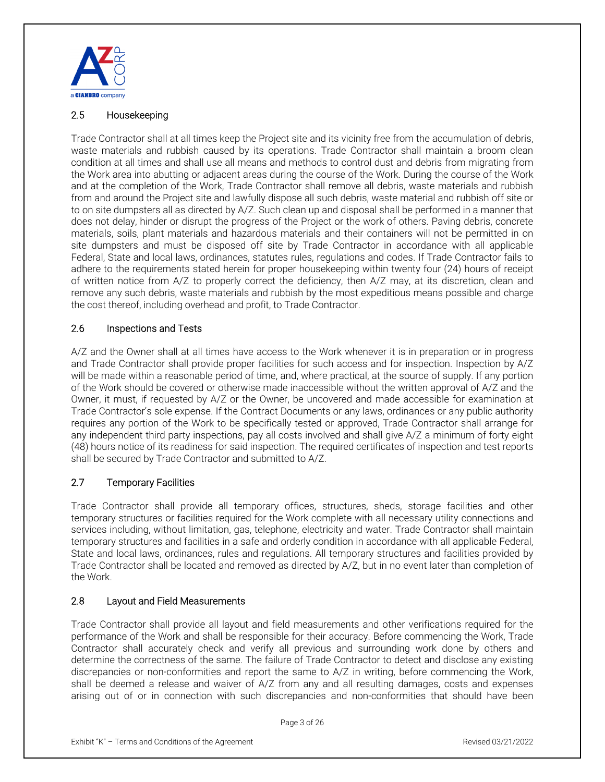

## 2.5 Housekeeping

Trade Contractor shall at all times keep the Project site and its vicinity free from the accumulation of debris, waste materials and rubbish caused by its operations. Trade Contractor shall maintain a broom clean condition at all times and shall use all means and methods to control dust and debris from migrating from the Work area into abutting or adjacent areas during the course of the Work. During the course of the Work and at the completion of the Work, Trade Contractor shall remove all debris, waste materials and rubbish from and around the Project site and lawfully dispose all such debris, waste material and rubbish off site or to on site dumpsters all as directed by A/Z. Such clean up and disposal shall be performed in a manner that does not delay, hinder or disrupt the progress of the Project or the work of others. Paving debris, concrete materials, soils, plant materials and hazardous materials and their containers will not be permitted in on site dumpsters and must be disposed off site by Trade Contractor in accordance with all applicable Federal, State and local laws, ordinances, statutes rules, regulations and codes. If Trade Contractor fails to adhere to the requirements stated herein for proper housekeeping within twenty four (24) hours of receipt of written notice from A/Z to properly correct the deficiency, then A/Z may, at its discretion, clean and remove any such debris, waste materials and rubbish by the most expeditious means possible and charge the cost thereof, including overhead and profit, to Trade Contractor.

## 2.6 Inspections and Tests

A/Z and the Owner shall at all times have access to the Work whenever it is in preparation or in progress and Trade Contractor shall provide proper facilities for such access and for inspection. Inspection by A/Z will be made within a reasonable period of time, and, where practical, at the source of supply. If any portion of the Work should be covered or otherwise made inaccessible without the written approval of A/Z and the Owner, it must, if requested by A/Z or the Owner, be uncovered and made accessible for examination at Trade Contractor's sole expense. If the Contract Documents or any laws, ordinances or any public authority requires any portion of the Work to be specifically tested or approved, Trade Contractor shall arrange for any independent third party inspections, pay all costs involved and shall give A/Z a minimum of forty eight (48) hours notice of its readiness for said inspection. The required certificates of inspection and test reports shall be secured by Trade Contractor and submitted to A/Z.

# 2.7 Temporary Facilities

Trade Contractor shall provide all temporary offices, structures, sheds, storage facilities and other temporary structures or facilities required for the Work complete with all necessary utility connections and services including, without limitation, gas, telephone, electricity and water. Trade Contractor shall maintain temporary structures and facilities in a safe and orderly condition in accordance with all applicable Federal, State and local laws, ordinances, rules and regulations. All temporary structures and facilities provided by Trade Contractor shall be located and removed as directed by A/Z, but in no event later than completion of the Work.

# 2.8 Layout and Field Measurements

Trade Contractor shall provide all layout and field measurements and other verifications required for the performance of the Work and shall be responsible for their accuracy. Before commencing the Work, Trade Contractor shall accurately check and verify all previous and surrounding work done by others and determine the correctness of the same. The failure of Trade Contractor to detect and disclose any existing discrepancies or non-conformities and report the same to A/Z in writing, before commencing the Work, shall be deemed a release and waiver of A/Z from any and all resulting damages, costs and expenses arising out of or in connection with such discrepancies and non-conformities that should have been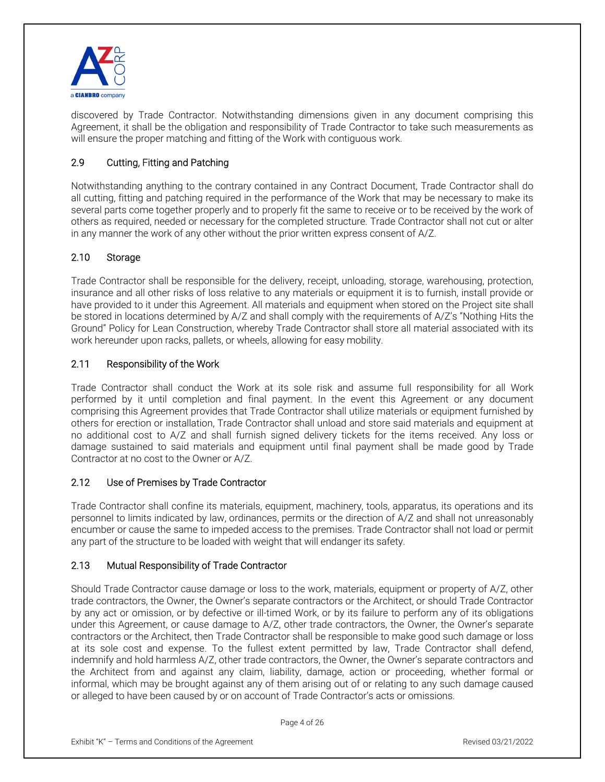

discovered by Trade Contractor. Notwithstanding dimensions given in any document comprising this Agreement, it shall be the obligation and responsibility of Trade Contractor to take such measurements as will ensure the proper matching and fitting of the Work with contiguous work.

# 2.9 Cutting, Fitting and Patching

Notwithstanding anything to the contrary contained in any Contract Document, Trade Contractor shall do all cutting, fitting and patching required in the performance of the Work that may be necessary to make its several parts come together properly and to properly fit the same to receive or to be received by the work of others as required, needed or necessary for the completed structure. Trade Contractor shall not cut or alter in any manner the work of any other without the prior written express consent of A/Z.

## 2.10 Storage

Trade Contractor shall be responsible for the delivery, receipt, unloading, storage, warehousing, protection, insurance and all other risks of loss relative to any materials or equipment it is to furnish, install provide or have provided to it under this Agreement. All materials and equipment when stored on the Project site shall be stored in locations determined by A/Z and shall comply with the requirements of A/Z's "Nothing Hits the Ground" Policy for Lean Construction, whereby Trade Contractor shall store all material associated with its work hereunder upon racks, pallets, or wheels, allowing for easy mobility.

## 2.11 Responsibility of the Work

Trade Contractor shall conduct the Work at its sole risk and assume full responsibility for all Work performed by it until completion and final payment. In the event this Agreement or any document comprising this Agreement provides that Trade Contractor shall utilize materials or equipment furnished by others for erection or installation, Trade Contractor shall unload and store said materials and equipment at no additional cost to A/Z and shall furnish signed delivery tickets for the items received. Any loss or damage sustained to said materials and equipment until final payment shall be made good by Trade Contractor at no cost to the Owner or A/Z.

#### 2.12 Use of Premises by Trade Contractor

Trade Contractor shall confine its materials, equipment, machinery, tools, apparatus, its operations and its personnel to limits indicated by law, ordinances, permits or the direction of A/Z and shall not unreasonably encumber or cause the same to impeded access to the premises. Trade Contractor shall not load or permit any part of the structure to be loaded with weight that will endanger its safety.

#### 2.13 Mutual Responsibility of Trade Contractor

Should Trade Contractor cause damage or loss to the work, materials, equipment or property of A/Z, other trade contractors, the Owner, the Owner's separate contractors or the Architect, or should Trade Contractor by any act or omission, or by defective or ill-timed Work, or by its failure to perform any of its obligations under this Agreement, or cause damage to A/Z, other trade contractors, the Owner, the Owner's separate contractors or the Architect, then Trade Contractor shall be responsible to make good such damage or loss at its sole cost and expense. To the fullest extent permitted by law, Trade Contractor shall defend, indemnify and hold harmless A/Z, other trade contractors, the Owner, the Owner's separate contractors and the Architect from and against any claim, liability, damage, action or proceeding, whether formal or informal, which may be brought against any of them arising out of or relating to any such damage caused or alleged to have been caused by or on account of Trade Contractor's acts or omissions.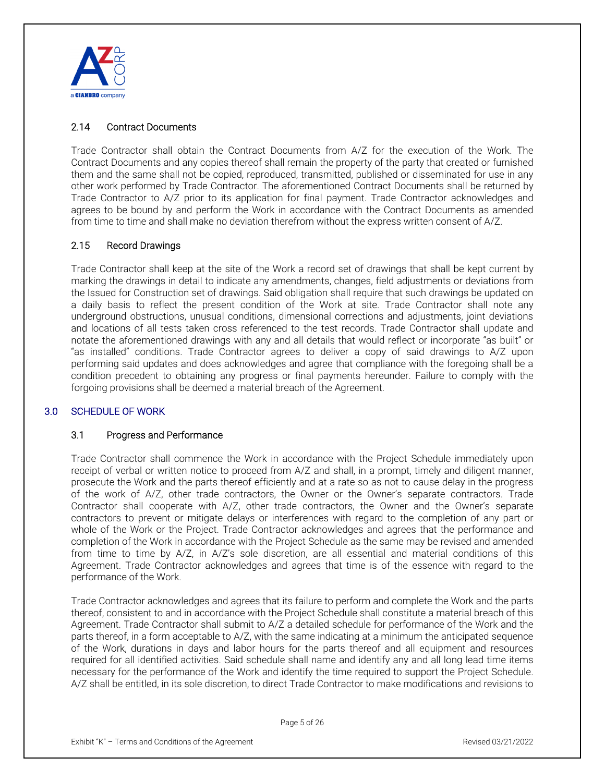

# 2.14 Contract Documents

Trade Contractor shall obtain the Contract Documents from A/Z for the execution of the Work. The Contract Documents and any copies thereof shall remain the property of the party that created or furnished them and the same shall not be copied, reproduced, transmitted, published or disseminated for use in any other work performed by Trade Contractor. The aforementioned Contract Documents shall be returned by Trade Contractor to A/Z prior to its application for final payment. Trade Contractor acknowledges and agrees to be bound by and perform the Work in accordance with the Contract Documents as amended from time to time and shall make no deviation therefrom without the express written consent of A/Z.

#### 2.15 Record Drawings

Trade Contractor shall keep at the site of the Work a record set of drawings that shall be kept current by marking the drawings in detail to indicate any amendments, changes, field adjustments or deviations from the Issued for Construction set of drawings. Said obligation shall require that such drawings be updated on a daily basis to reflect the present condition of the Work at site. Trade Contractor shall note any underground obstructions, unusual conditions, dimensional corrections and adjustments, joint deviations and locations of all tests taken cross referenced to the test records. Trade Contractor shall update and notate the aforementioned drawings with any and all details that would reflect or incorporate "as built" or "as installed" conditions. Trade Contractor agrees to deliver a copy of said drawings to A/Z upon performing said updates and does acknowledges and agree that compliance with the foregoing shall be a condition precedent to obtaining any progress or final payments hereunder. Failure to comply with the forgoing provisions shall be deemed a material breach of the Agreement.

#### 3.0 SCHEDULE OF WORK

#### 3.1 Progress and Performance

Trade Contractor shall commence the Work in accordance with the Project Schedule immediately upon receipt of verbal or written notice to proceed from A/Z and shall, in a prompt, timely and diligent manner, prosecute the Work and the parts thereof efficiently and at a rate so as not to cause delay in the progress of the work of A/Z, other trade contractors, the Owner or the Owner's separate contractors. Trade Contractor shall cooperate with A/Z, other trade contractors, the Owner and the Owner's separate contractors to prevent or mitigate delays or interferences with regard to the completion of any part or whole of the Work or the Project. Trade Contractor acknowledges and agrees that the performance and completion of the Work in accordance with the Project Schedule as the same may be revised and amended from time to time by A/Z, in A/Z's sole discretion, are all essential and material conditions of this Agreement. Trade Contractor acknowledges and agrees that time is of the essence with regard to the performance of the Work.

Trade Contractor acknowledges and agrees that its failure to perform and complete the Work and the parts thereof, consistent to and in accordance with the Project Schedule shall constitute a material breach of this Agreement. Trade Contractor shall submit to A/Z a detailed schedule for performance of the Work and the parts thereof, in a form acceptable to A/Z, with the same indicating at a minimum the anticipated sequence of the Work, durations in days and labor hours for the parts thereof and all equipment and resources required for all identified activities. Said schedule shall name and identify any and all long lead time items necessary for the performance of the Work and identify the time required to support the Project Schedule. A/Z shall be entitled, in its sole discretion, to direct Trade Contractor to make modifications and revisions to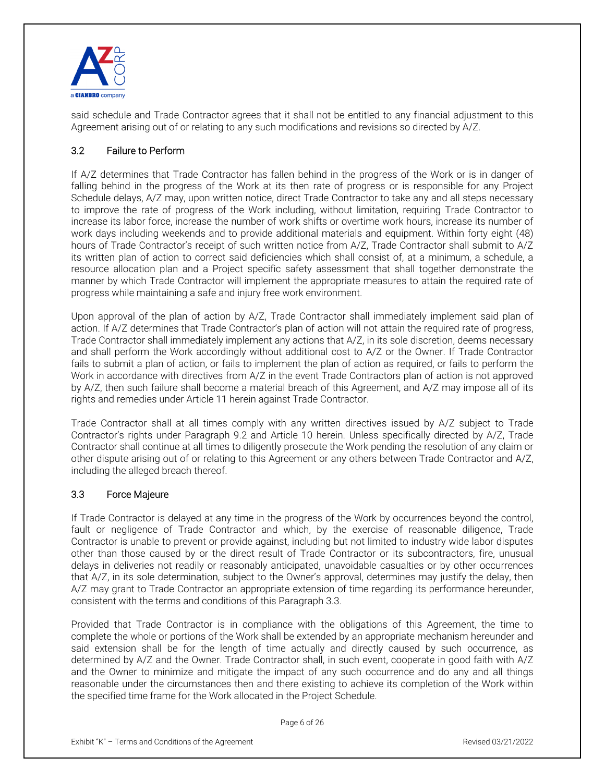

said schedule and Trade Contractor agrees that it shall not be entitled to any financial adjustment to this Agreement arising out of or relating to any such modifications and revisions so directed by A/Z.

# 3.2 Failure to Perform

If A/Z determines that Trade Contractor has fallen behind in the progress of the Work or is in danger of falling behind in the progress of the Work at its then rate of progress or is responsible for any Project Schedule delays, A/Z may, upon written notice, direct Trade Contractor to take any and all steps necessary to improve the rate of progress of the Work including, without limitation, requiring Trade Contractor to increase its labor force, increase the number of work shifts or overtime work hours, increase its number of work days including weekends and to provide additional materials and equipment. Within forty eight (48) hours of Trade Contractor's receipt of such written notice from A/Z, Trade Contractor shall submit to A/Z its written plan of action to correct said deficiencies which shall consist of, at a minimum, a schedule, a resource allocation plan and a Project specific safety assessment that shall together demonstrate the manner by which Trade Contractor will implement the appropriate measures to attain the required rate of progress while maintaining a safe and injury free work environment.

Upon approval of the plan of action by A/Z, Trade Contractor shall immediately implement said plan of action. If A/Z determines that Trade Contractor's plan of action will not attain the required rate of progress, Trade Contractor shall immediately implement any actions that A/Z, in its sole discretion, deems necessary and shall perform the Work accordingly without additional cost to A/Z or the Owner. If Trade Contractor fails to submit a plan of action, or fails to implement the plan of action as required, or fails to perform the Work in accordance with directives from A/Z in the event Trade Contractors plan of action is not approved by A/Z, then such failure shall become a material breach of this Agreement, and A/Z may impose all of its rights and remedies under Article 11 herein against Trade Contractor.

Trade Contractor shall at all times comply with any written directives issued by A/Z subject to Trade Contractor's rights under Paragraph 9.2 and Article 10 herein. Unless specifically directed by A/Z, Trade Contractor shall continue at all times to diligently prosecute the Work pending the resolution of any claim or other dispute arising out of or relating to this Agreement or any others between Trade Contractor and A/Z, including the alleged breach thereof.

#### 3.3 Force Majeure

If Trade Contractor is delayed at any time in the progress of the Work by occurrences beyond the control, fault or negligence of Trade Contractor and which, by the exercise of reasonable diligence, Trade Contractor is unable to prevent or provide against, including but not limited to industry wide labor disputes other than those caused by or the direct result of Trade Contractor or its subcontractors, fire, unusual delays in deliveries not readily or reasonably anticipated, unavoidable casualties or by other occurrences that A/Z, in its sole determination, subject to the Owner's approval, determines may justify the delay, then A/Z may grant to Trade Contractor an appropriate extension of time regarding its performance hereunder, consistent with the terms and conditions of this Paragraph 3.3.

Provided that Trade Contractor is in compliance with the obligations of this Agreement, the time to complete the whole or portions of the Work shall be extended by an appropriate mechanism hereunder and said extension shall be for the length of time actually and directly caused by such occurrence, as determined by A/Z and the Owner. Trade Contractor shall, in such event, cooperate in good faith with A/Z and the Owner to minimize and mitigate the impact of any such occurrence and do any and all things reasonable under the circumstances then and there existing to achieve its completion of the Work within the specified time frame for the Work allocated in the Project Schedule.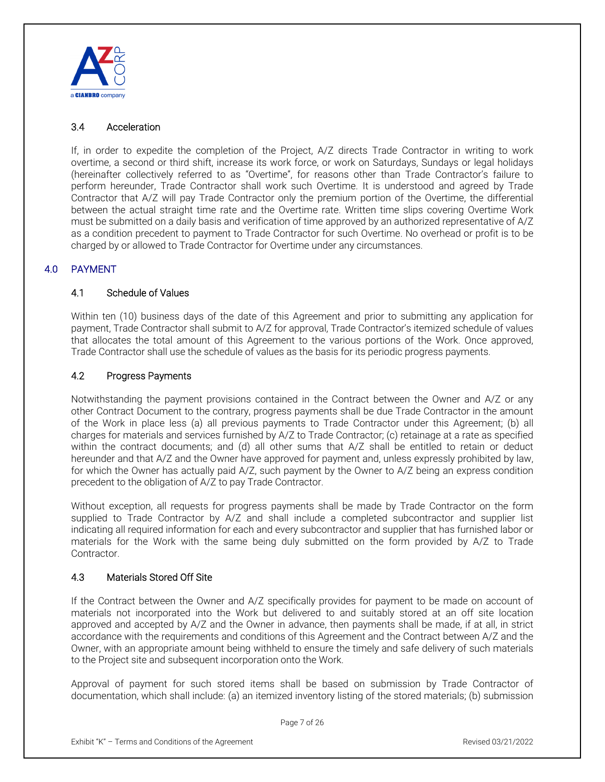

# 3.4 Acceleration

If, in order to expedite the completion of the Project, A/Z directs Trade Contractor in writing to work overtime, a second or third shift, increase its work force, or work on Saturdays, Sundays or legal holidays (hereinafter collectively referred to as "Overtime", for reasons other than Trade Contractor's failure to perform hereunder, Trade Contractor shall work such Overtime. It is understood and agreed by Trade Contractor that A/Z will pay Trade Contractor only the premium portion of the Overtime, the differential between the actual straight time rate and the Overtime rate. Written time slips covering Overtime Work must be submitted on a daily basis and verification of time approved by an authorized representative of A/Z as a condition precedent to payment to Trade Contractor for such Overtime. No overhead or profit is to be charged by or allowed to Trade Contractor for Overtime under any circumstances.

# 4.0 PAYMENT

## 4.1 Schedule of Values

Within ten (10) business days of the date of this Agreement and prior to submitting any application for payment, Trade Contractor shall submit to A/Z for approval, Trade Contractor's itemized schedule of values that allocates the total amount of this Agreement to the various portions of the Work. Once approved, Trade Contractor shall use the schedule of values as the basis for its periodic progress payments.

## 4.2 Progress Payments

Notwithstanding the payment provisions contained in the Contract between the Owner and A/Z or any other Contract Document to the contrary, progress payments shall be due Trade Contractor in the amount of the Work in place less (a) all previous payments to Trade Contractor under this Agreement; (b) all charges for materials and services furnished by A/Z to Trade Contractor; (c) retainage at a rate as specified within the contract documents; and (d) all other sums that A/Z shall be entitled to retain or deduct hereunder and that A/Z and the Owner have approved for payment and, unless expressly prohibited by law, for which the Owner has actually paid A/Z, such payment by the Owner to A/Z being an express condition precedent to the obligation of A/Z to pay Trade Contractor.

Without exception, all requests for progress payments shall be made by Trade Contractor on the form supplied to Trade Contractor by A/Z and shall include a completed subcontractor and supplier list indicating all required information for each and every subcontractor and supplier that has furnished labor or materials for the Work with the same being duly submitted on the form provided by A/Z to Trade Contractor.

# 4.3 Materials Stored Off Site

If the Contract between the Owner and A/Z specifically provides for payment to be made on account of materials not incorporated into the Work but delivered to and suitably stored at an off site location approved and accepted by A/Z and the Owner in advance, then payments shall be made, if at all, in strict accordance with the requirements and conditions of this Agreement and the Contract between A/Z and the Owner, with an appropriate amount being withheld to ensure the timely and safe delivery of such materials to the Project site and subsequent incorporation onto the Work.

Approval of payment for such stored items shall be based on submission by Trade Contractor of documentation, which shall include: (a) an itemized inventory listing of the stored materials; (b) submission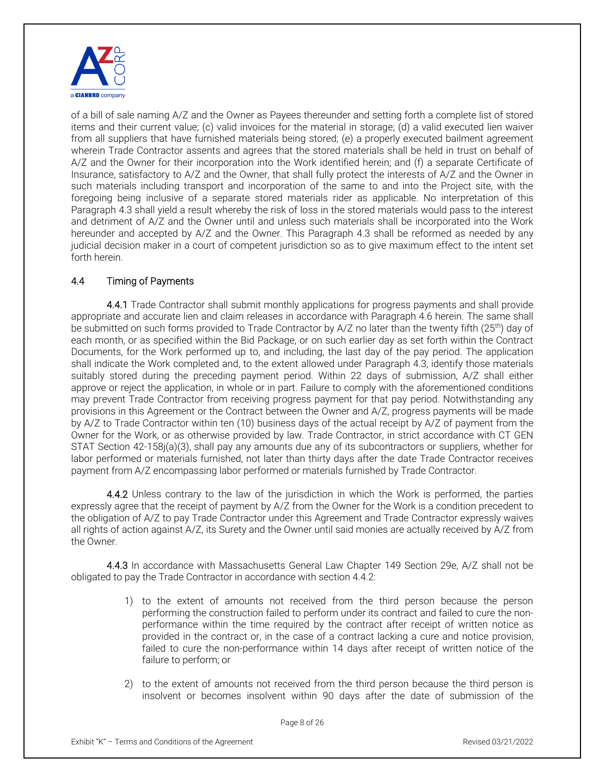

of a bill of sale naming A/Z and the Owner as Payees thereunder and setting forth a complete list of stored items and their current value; (c) valid invoices for the material in storage; (d) a valid executed lien waiver from all suppliers that have furnished materials being stored; (e) a properly executed bailment agreement wherein Trade Contractor assents and agrees that the stored materials shall be held in trust on behalf of A/Z and the Owner for their incorporation into the Work identified herein; and (f) a separate Certificate of Insurance, satisfactory to A/Z and the Owner, that shall fully protect the interests of A/Z and the Owner in such materials including transport and incorporation of the same to and into the Project site, with the foregoing being inclusive of a separate stored materials rider as applicable. No interpretation of this Paragraph 4.3 shall yield a result whereby the risk of loss in the stored materials would pass to the interest and detriment of A/Z and the Owner until and unless such materials shall be incorporated into the Work hereunder and accepted by A/Z and the Owner. This Paragraph 4.3 shall be reformed as needed by any judicial decision maker in a court of competent jurisdiction so as to give maximum effect to the intent set forth herein.

# 4.4 Timing of Payments

4.4.1 Trade Contractor shall submit monthly applications for progress payments and shall provide appropriate and accurate lien and claim releases in accordance with Paragraph 4.6 herein. The same shall be submitted on such forms provided to Trade Contractor by A/Z no later than the twenty fifth (25<sup>th</sup>) day of each month, or as specified within the Bid Package, or on such earlier day as set forth within the Contract Documents, for the Work performed up to, and including, the last day of the pay period. The application shall indicate the Work completed and, to the extent allowed under Paragraph 4.3, identify those materials suitably stored during the preceding payment period. Within 22 days of submission, A/Z shall either approve or reject the application, in whole or in part. Failure to comply with the aforementioned conditions may prevent Trade Contractor from receiving progress payment for that pay period. Notwithstanding any provisions in this Agreement or the Contract between the Owner and A/Z, progress payments will be made by A/Z to Trade Contractor within ten (10) business days of the actual receipt by A/Z of payment from the Owner for the Work, or as otherwise provided by law. Trade Contractor, in strict accordance with CT GEN STAT Section 42-158j(a)(3), shall pay any amounts due any of its subcontractors or suppliers, whether for labor performed or materials furnished, not later than thirty days after the date Trade Contractor receives payment from A/Z encompassing labor performed or materials furnished by Trade Contractor.

4.4.2 Unless contrary to the law of the jurisdiction in which the Work is performed, the parties expressly agree that the receipt of payment by A/Z from the Owner for the Work is a condition precedent to the obligation of A/Z to pay Trade Contractor under this Agreement and Trade Contractor expressly waives all rights of action against A/Z, its Surety and the Owner until said monies are actually received by A/Z from the Owner.

4.4.3 In accordance with Massachusetts General Law Chapter 149 Section 29e, A/Z shall not be obligated to pay the Trade Contractor in accordance with section 4.4.2:

- 1) to the extent of amounts not received from the third person because the person performing the construction failed to perform under its contract and failed to cure the nonperformance within the time required by the contract after receipt of written notice as provided in the contract or, in the case of a contract lacking a cure and notice provision, failed to cure the non-performance within 14 days after receipt of written notice of the failure to perform; or
- 2) to the extent of amounts not received from the third person because the third person is insolvent or becomes insolvent within 90 days after the date of submission of the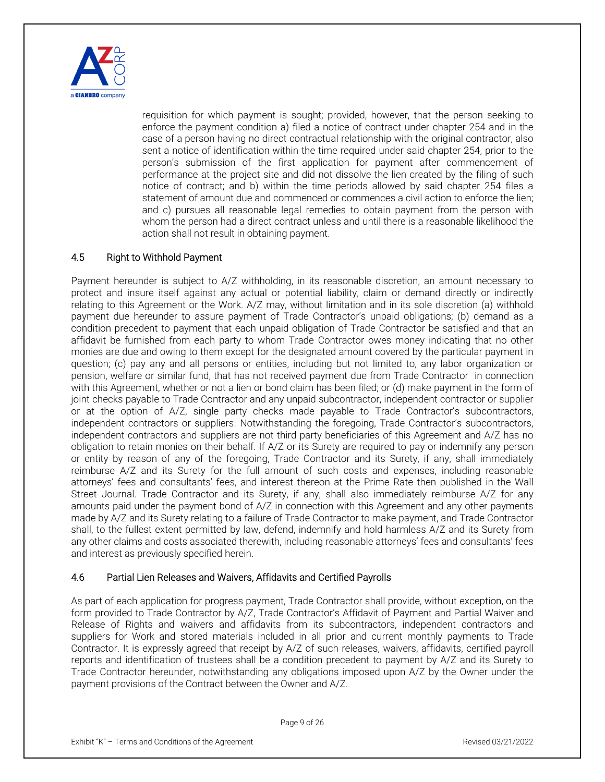

requisition for which payment is sought; provided, however, that the person seeking to enforce the payment condition a) filed a notice of contract under chapter 254 and in the case of a person having no direct contractual relationship with the original contractor, also sent a notice of identification within the time required under said chapter 254, prior to the person's submission of the first application for payment after commencement of performance at the project site and did not dissolve the lien created by the filing of such notice of contract; and b) within the time periods allowed by said chapter 254 files a statement of amount due and commenced or commences a civil action to enforce the lien; and c) pursues all reasonable legal remedies to obtain payment from the person with whom the person had a direct contract unless and until there is a reasonable likelihood the action shall not result in obtaining payment.

## 4.5 Right to Withhold Payment

Payment hereunder is subject to A/Z withholding, in its reasonable discretion, an amount necessary to protect and insure itself against any actual or potential liability, claim or demand directly or indirectly relating to this Agreement or the Work. A/Z may, without limitation and in its sole discretion (a) withhold payment due hereunder to assure payment of Trade Contractor's unpaid obligations; (b) demand as a condition precedent to payment that each unpaid obligation of Trade Contractor be satisfied and that an affidavit be furnished from each party to whom Trade Contractor owes money indicating that no other monies are due and owing to them except for the designated amount covered by the particular payment in question; (c) pay any and all persons or entities, including but not limited to, any labor organization or pension, welfare or similar fund, that has not received payment due from Trade Contractor in connection with this Agreement, whether or not a lien or bond claim has been filed; or (d) make payment in the form of joint checks payable to Trade Contractor and any unpaid subcontractor, independent contractor or supplier or at the option of A/Z, single party checks made payable to Trade Contractor's subcontractors, independent contractors or suppliers. Notwithstanding the foregoing, Trade Contractor's subcontractors, independent contractors and suppliers are not third party beneficiaries of this Agreement and A/Z has no obligation to retain monies on their behalf. If A/Z or its Surety are required to pay or indemnify any person or entity by reason of any of the foregoing, Trade Contractor and its Surety, if any, shall immediately reimburse A/Z and its Surety for the full amount of such costs and expenses, including reasonable attorneys' fees and consultants' fees, and interest thereon at the Prime Rate then published in the Wall Street Journal. Trade Contractor and its Surety, if any, shall also immediately reimburse A/Z for any amounts paid under the payment bond of A/Z in connection with this Agreement and any other payments made by A/Z and its Surety relating to a failure of Trade Contractor to make payment, and Trade Contractor shall, to the fullest extent permitted by law, defend, indemnify and hold harmless A/Z and its Surety from any other claims and costs associated therewith, including reasonable attorneys' fees and consultants' fees and interest as previously specified herein.

#### 4.6 Partial Lien Releases and Waivers, Affidavits and Certified Payrolls

As part of each application for progress payment, Trade Contractor shall provide, without exception, on the form provided to Trade Contractor by A/Z, Trade Contractor's Affidavit of Payment and Partial Waiver and Release of Rights and waivers and affidavits from its subcontractors, independent contractors and suppliers for Work and stored materials included in all prior and current monthly payments to Trade Contractor. It is expressly agreed that receipt by A/Z of such releases, waivers, affidavits, certified payroll reports and identification of trustees shall be a condition precedent to payment by A/Z and its Surety to Trade Contractor hereunder, notwithstanding any obligations imposed upon A/Z by the Owner under the payment provisions of the Contract between the Owner and A/Z.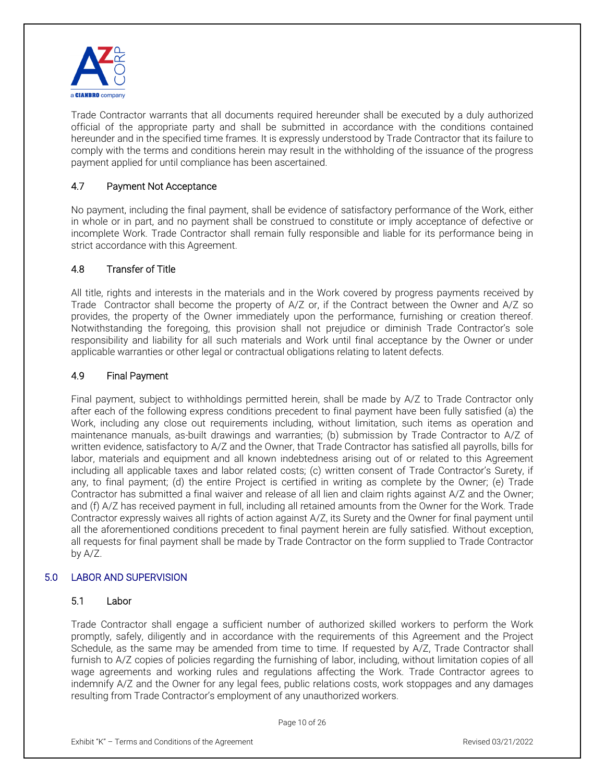

Trade Contractor warrants that all documents required hereunder shall be executed by a duly authorized official of the appropriate party and shall be submitted in accordance with the conditions contained hereunder and in the specified time frames. It is expressly understood by Trade Contractor that its failure to comply with the terms and conditions herein may result in the withholding of the issuance of the progress payment applied for until compliance has been ascertained.

# 4.7 Payment Not Acceptance

No payment, including the final payment, shall be evidence of satisfactory performance of the Work, either in whole or in part, and no payment shall be construed to constitute or imply acceptance of defective or incomplete Work. Trade Contractor shall remain fully responsible and liable for its performance being in strict accordance with this Agreement.

# 4.8 Transfer of Title

All title, rights and interests in the materials and in the Work covered by progress payments received by Trade Contractor shall become the property of A/Z or, if the Contract between the Owner and A/Z so provides, the property of the Owner immediately upon the performance, furnishing or creation thereof. Notwithstanding the foregoing, this provision shall not prejudice or diminish Trade Contractor's sole responsibility and liability for all such materials and Work until final acceptance by the Owner or under applicable warranties or other legal or contractual obligations relating to latent defects.

# 4.9 Final Payment

Final payment, subject to withholdings permitted herein, shall be made by A/Z to Trade Contractor only after each of the following express conditions precedent to final payment have been fully satisfied (a) the Work, including any close out requirements including, without limitation, such items as operation and maintenance manuals, as-built drawings and warranties; (b) submission by Trade Contractor to A/Z of written evidence, satisfactory to A/Z and the Owner, that Trade Contractor has satisfied all payrolls, bills for labor, materials and equipment and all known indebtedness arising out of or related to this Agreement including all applicable taxes and labor related costs; (c) written consent of Trade Contractor's Surety, if any, to final payment; (d) the entire Project is certified in writing as complete by the Owner; (e) Trade Contractor has submitted a final waiver and release of all lien and claim rights against A/Z and the Owner; and (f) A/Z has received payment in full, including all retained amounts from the Owner for the Work. Trade Contractor expressly waives all rights of action against A/Z, its Surety and the Owner for final payment until all the aforementioned conditions precedent to final payment herein are fully satisfied. Without exception, all requests for final payment shall be made by Trade Contractor on the form supplied to Trade Contractor by A/Z.

# 5.0 LABOR AND SUPERVISION

# 5.1 Labor

Trade Contractor shall engage a sufficient number of authorized skilled workers to perform the Work promptly, safely, diligently and in accordance with the requirements of this Agreement and the Project Schedule, as the same may be amended from time to time. If requested by A/Z, Trade Contractor shall furnish to A/Z copies of policies regarding the furnishing of labor, including, without limitation copies of all wage agreements and working rules and regulations affecting the Work. Trade Contractor agrees to indemnify A/Z and the Owner for any legal fees, public relations costs, work stoppages and any damages resulting from Trade Contractor's employment of any unauthorized workers.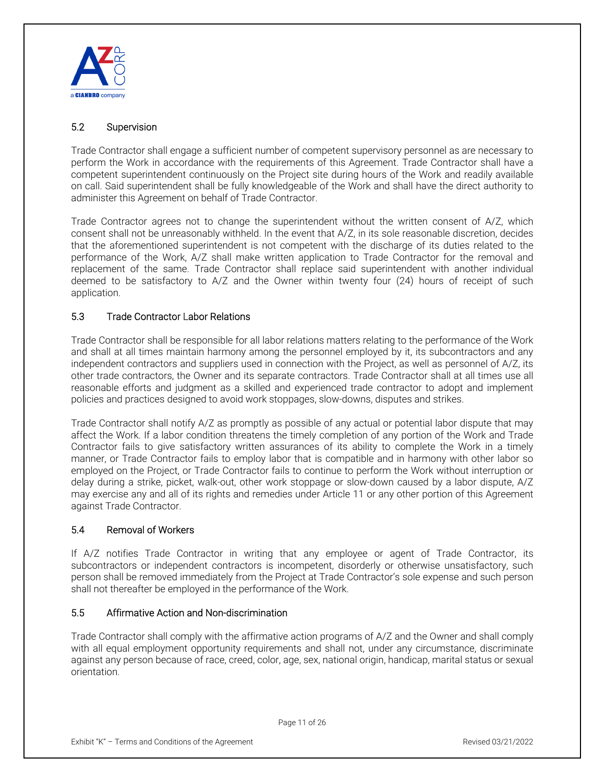

# 5.2 Supervision

Trade Contractor shall engage a sufficient number of competent supervisory personnel as are necessary to perform the Work in accordance with the requirements of this Agreement. Trade Contractor shall have a competent superintendent continuously on the Project site during hours of the Work and readily available on call. Said superintendent shall be fully knowledgeable of the Work and shall have the direct authority to administer this Agreement on behalf of Trade Contractor.

Trade Contractor agrees not to change the superintendent without the written consent of A/Z, which consent shall not be unreasonably withheld. In the event that A/Z, in its sole reasonable discretion, decides that the aforementioned superintendent is not competent with the discharge of its duties related to the performance of the Work, A/Z shall make written application to Trade Contractor for the removal and replacement of the same. Trade Contractor shall replace said superintendent with another individual deemed to be satisfactory to A/Z and the Owner within twenty four (24) hours of receipt of such application.

# 5.3 Trade Contractor Labor Relations

Trade Contractor shall be responsible for all labor relations matters relating to the performance of the Work and shall at all times maintain harmony among the personnel employed by it, its subcontractors and any independent contractors and suppliers used in connection with the Project, as well as personnel of A/Z, its other trade contractors, the Owner and its separate contractors. Trade Contractor shall at all times use all reasonable efforts and judgment as a skilled and experienced trade contractor to adopt and implement policies and practices designed to avoid work stoppages, slow-downs, disputes and strikes.

Trade Contractor shall notify A/Z as promptly as possible of any actual or potential labor dispute that may affect the Work. If a labor condition threatens the timely completion of any portion of the Work and Trade Contractor fails to give satisfactory written assurances of its ability to complete the Work in a timely manner, or Trade Contractor fails to employ labor that is compatible and in harmony with other labor so employed on the Project, or Trade Contractor fails to continue to perform the Work without interruption or delay during a strike, picket, walk-out, other work stoppage or slow-down caused by a labor dispute, A/Z may exercise any and all of its rights and remedies under Article 11 or any other portion of this Agreement against Trade Contractor.

# 5.4 Removal of Workers

If A/Z notifies Trade Contractor in writing that any employee or agent of Trade Contractor, its subcontractors or independent contractors is incompetent, disorderly or otherwise unsatisfactory, such person shall be removed immediately from the Project at Trade Contractor's sole expense and such person shall not thereafter be employed in the performance of the Work.

#### 5.5 Affirmative Action and Non-discrimination

Trade Contractor shall comply with the affirmative action programs of A/Z and the Owner and shall comply with all equal employment opportunity requirements and shall not, under any circumstance, discriminate against any person because of race, creed, color, age, sex, national origin, handicap, marital status or sexual orientation.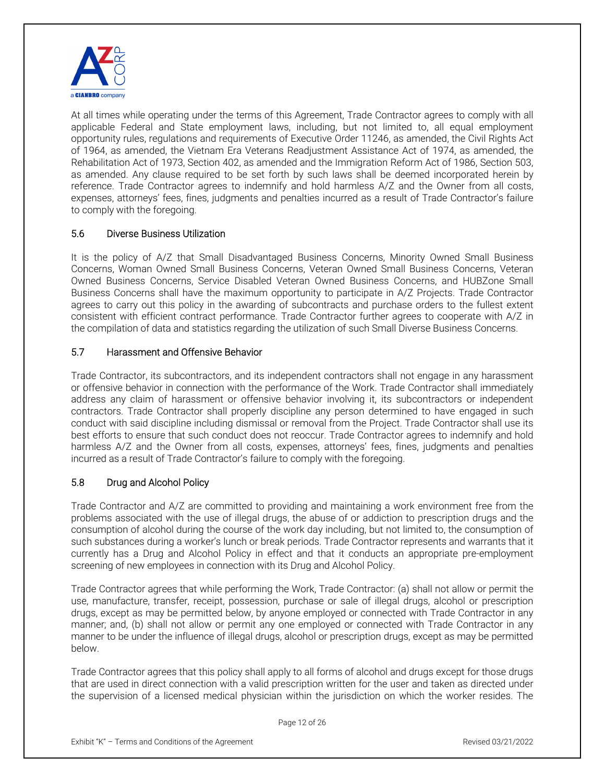

At all times while operating under the terms of this Agreement, Trade Contractor agrees to comply with all applicable Federal and State employment laws, including, but not limited to, all equal employment opportunity rules, regulations and requirements of Executive Order 11246, as amended, the Civil Rights Act of 1964, as amended, the Vietnam Era Veterans Readjustment Assistance Act of 1974, as amended, the Rehabilitation Act of 1973, Section 402, as amended and the Immigration Reform Act of 1986, Section 503, as amended. Any clause required to be set forth by such laws shall be deemed incorporated herein by reference. Trade Contractor agrees to indemnify and hold harmless A/Z and the Owner from all costs, expenses, attorneys' fees, fines, judgments and penalties incurred as a result of Trade Contractor's failure to comply with the foregoing.

# 5.6 Diverse Business Utilization

It is the policy of A/Z that Small Disadvantaged Business Concerns, Minority Owned Small Business Concerns, Woman Owned Small Business Concerns, Veteran Owned Small Business Concerns, Veteran Owned Business Concerns, Service Disabled Veteran Owned Business Concerns, and HUBZone Small Business Concerns shall have the maximum opportunity to participate in A/Z Projects. Trade Contractor agrees to carry out this policy in the awarding of subcontracts and purchase orders to the fullest extent consistent with efficient contract performance. Trade Contractor further agrees to cooperate with A/Z in the compilation of data and statistics regarding the utilization of such Small Diverse Business Concerns.

# 5.7 Harassment and Offensive Behavior

Trade Contractor, its subcontractors, and its independent contractors shall not engage in any harassment or offensive behavior in connection with the performance of the Work. Trade Contractor shall immediately address any claim of harassment or offensive behavior involving it, its subcontractors or independent contractors. Trade Contractor shall properly discipline any person determined to have engaged in such conduct with said discipline including dismissal or removal from the Project. Trade Contractor shall use its best efforts to ensure that such conduct does not reoccur. Trade Contractor agrees to indemnify and hold harmless A/Z and the Owner from all costs, expenses, attorneys' fees, fines, judgments and penalties incurred as a result of Trade Contractor's failure to comply with the foregoing.

# 5.8 Drug and Alcohol Policy

Trade Contractor and A/Z are committed to providing and maintaining a work environment free from the problems associated with the use of illegal drugs, the abuse of or addiction to prescription drugs and the consumption of alcohol during the course of the work day including, but not limited to, the consumption of such substances during a worker's lunch or break periods. Trade Contractor represents and warrants that it currently has a Drug and Alcohol Policy in effect and that it conducts an appropriate pre-employment screening of new employees in connection with its Drug and Alcohol Policy.

Trade Contractor agrees that while performing the Work, Trade Contractor: (a) shall not allow or permit the use, manufacture, transfer, receipt, possession, purchase or sale of illegal drugs, alcohol or prescription drugs, except as may be permitted below, by anyone employed or connected with Trade Contractor in any manner; and, (b) shall not allow or permit any one employed or connected with Trade Contractor in any manner to be under the influence of illegal drugs, alcohol or prescription drugs, except as may be permitted below.

Trade Contractor agrees that this policy shall apply to all forms of alcohol and drugs except for those drugs that are used in direct connection with a valid prescription written for the user and taken as directed under the supervision of a licensed medical physician within the jurisdiction on which the worker resides. The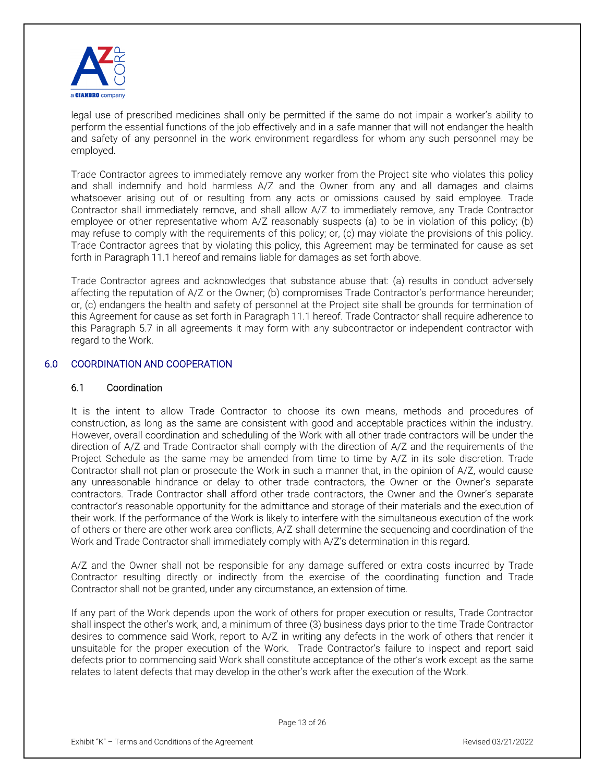

legal use of prescribed medicines shall only be permitted if the same do not impair a worker's ability to perform the essential functions of the job effectively and in a safe manner that will not endanger the health and safety of any personnel in the work environment regardless for whom any such personnel may be employed.

Trade Contractor agrees to immediately remove any worker from the Project site who violates this policy and shall indemnify and hold harmless A/Z and the Owner from any and all damages and claims whatsoever arising out of or resulting from any acts or omissions caused by said employee. Trade Contractor shall immediately remove, and shall allow A/Z to immediately remove, any Trade Contractor employee or other representative whom A/Z reasonably suspects (a) to be in violation of this policy; (b) may refuse to comply with the requirements of this policy; or, (c) may violate the provisions of this policy. Trade Contractor agrees that by violating this policy, this Agreement may be terminated for cause as set forth in Paragraph 11.1 hereof and remains liable for damages as set forth above.

Trade Contractor agrees and acknowledges that substance abuse that: (a) results in conduct adversely affecting the reputation of A/Z or the Owner; (b) compromises Trade Contractor's performance hereunder; or, (c) endangers the health and safety of personnel at the Project site shall be grounds for termination of this Agreement for cause as set forth in Paragraph 11.1 hereof. Trade Contractor shall require adherence to this Paragraph 5.7 in all agreements it may form with any subcontractor or independent contractor with regard to the Work.

#### 6.0 COORDINATION AND COOPERATION

## 6.1 Coordination

It is the intent to allow Trade Contractor to choose its own means, methods and procedures of construction, as long as the same are consistent with good and acceptable practices within the industry. However, overall coordination and scheduling of the Work with all other trade contractors will be under the direction of A/Z and Trade Contractor shall comply with the direction of A/Z and the requirements of the Project Schedule as the same may be amended from time to time by A/Z in its sole discretion. Trade Contractor shall not plan or prosecute the Work in such a manner that, in the opinion of A/Z, would cause any unreasonable hindrance or delay to other trade contractors, the Owner or the Owner's separate contractors. Trade Contractor shall afford other trade contractors, the Owner and the Owner's separate contractor's reasonable opportunity for the admittance and storage of their materials and the execution of their work. If the performance of the Work is likely to interfere with the simultaneous execution of the work of others or there are other work area conflicts, A/Z shall determine the sequencing and coordination of the Work and Trade Contractor shall immediately comply with A/Z's determination in this regard.

A/Z and the Owner shall not be responsible for any damage suffered or extra costs incurred by Trade Contractor resulting directly or indirectly from the exercise of the coordinating function and Trade Contractor shall not be granted, under any circumstance, an extension of time.

If any part of the Work depends upon the work of others for proper execution or results, Trade Contractor shall inspect the other's work, and, a minimum of three (3) business days prior to the time Trade Contractor desires to commence said Work, report to A/Z in writing any defects in the work of others that render it unsuitable for the proper execution of the Work. Trade Contractor's failure to inspect and report said defects prior to commencing said Work shall constitute acceptance of the other's work except as the same relates to latent defects that may develop in the other's work after the execution of the Work.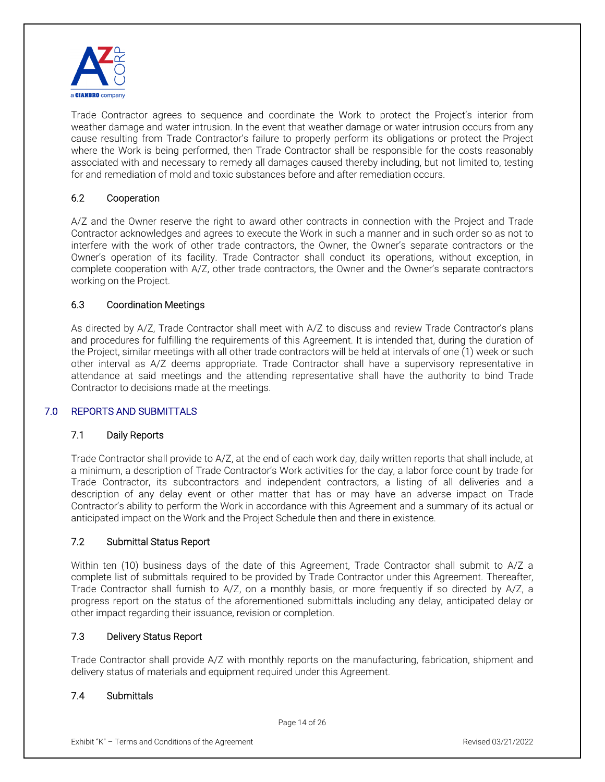

Trade Contractor agrees to sequence and coordinate the Work to protect the Project's interior from weather damage and water intrusion. In the event that weather damage or water intrusion occurs from any cause resulting from Trade Contractor's failure to properly perform its obligations or protect the Project where the Work is being performed, then Trade Contractor shall be responsible for the costs reasonably associated with and necessary to remedy all damages caused thereby including, but not limited to, testing for and remediation of mold and toxic substances before and after remediation occurs.

## 6.2 Cooperation

A/Z and the Owner reserve the right to award other contracts in connection with the Project and Trade Contractor acknowledges and agrees to execute the Work in such a manner and in such order so as not to interfere with the work of other trade contractors, the Owner, the Owner's separate contractors or the Owner's operation of its facility. Trade Contractor shall conduct its operations, without exception, in complete cooperation with A/Z, other trade contractors, the Owner and the Owner's separate contractors working on the Project.

#### 6.3 Coordination Meetings

As directed by A/Z, Trade Contractor shall meet with A/Z to discuss and review Trade Contractor's plans and procedures for fulfilling the requirements of this Agreement. It is intended that, during the duration of the Project, similar meetings with all other trade contractors will be held at intervals of one (1) week or such other interval as A/Z deems appropriate. Trade Contractor shall have a supervisory representative in attendance at said meetings and the attending representative shall have the authority to bind Trade Contractor to decisions made at the meetings.

#### 7.0 REPORTS AND SUBMITTALS

#### 7.1 Daily Reports

Trade Contractor shall provide to A/Z, at the end of each work day, daily written reports that shall include, at a minimum, a description of Trade Contractor's Work activities for the day, a labor force count by trade for Trade Contractor, its subcontractors and independent contractors, a listing of all deliveries and a description of any delay event or other matter that has or may have an adverse impact on Trade Contractor's ability to perform the Work in accordance with this Agreement and a summary of its actual or anticipated impact on the Work and the Project Schedule then and there in existence.

#### 7.2 Submittal Status Report

Within ten (10) business days of the date of this Agreement, Trade Contractor shall submit to A/Z a complete list of submittals required to be provided by Trade Contractor under this Agreement. Thereafter, Trade Contractor shall furnish to A/Z, on a monthly basis, or more frequently if so directed by A/Z, a progress report on the status of the aforementioned submittals including any delay, anticipated delay or other impact regarding their issuance, revision or completion.

#### 7.3 Delivery Status Report

Trade Contractor shall provide A/Z with monthly reports on the manufacturing, fabrication, shipment and delivery status of materials and equipment required under this Agreement.

# 7.4 Submittals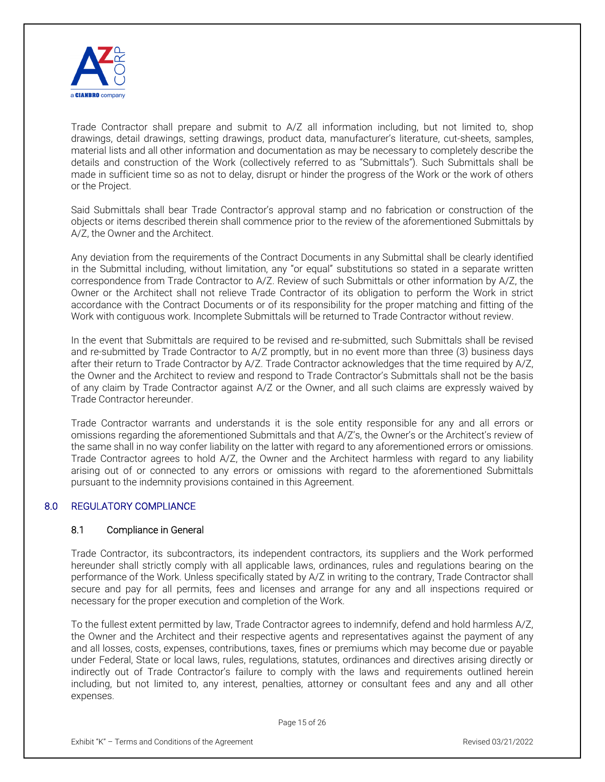

Trade Contractor shall prepare and submit to A/Z all information including, but not limited to, shop drawings, detail drawings, setting drawings, product data, manufacturer's literature, cut-sheets, samples, material lists and all other information and documentation as may be necessary to completely describe the details and construction of the Work (collectively referred to as "Submittals"). Such Submittals shall be made in sufficient time so as not to delay, disrupt or hinder the progress of the Work or the work of others or the Project.

Said Submittals shall bear Trade Contractor's approval stamp and no fabrication or construction of the objects or items described therein shall commence prior to the review of the aforementioned Submittals by A/Z, the Owner and the Architect.

Any deviation from the requirements of the Contract Documents in any Submittal shall be clearly identified in the Submittal including, without limitation, any "or equal" substitutions so stated in a separate written correspondence from Trade Contractor to A/Z. Review of such Submittals or other information by A/Z, the Owner or the Architect shall not relieve Trade Contractor of its obligation to perform the Work in strict accordance with the Contract Documents or of its responsibility for the proper matching and fitting of the Work with contiguous work. Incomplete Submittals will be returned to Trade Contractor without review.

In the event that Submittals are required to be revised and re-submitted, such Submittals shall be revised and re-submitted by Trade Contractor to A/Z promptly, but in no event more than three (3) business days after their return to Trade Contractor by A/Z. Trade Contractor acknowledges that the time required by A/Z, the Owner and the Architect to review and respond to Trade Contractor's Submittals shall not be the basis of any claim by Trade Contractor against A/Z or the Owner, and all such claims are expressly waived by Trade Contractor hereunder.

Trade Contractor warrants and understands it is the sole entity responsible for any and all errors or omissions regarding the aforementioned Submittals and that A/Z's, the Owner's or the Architect's review of the same shall in no way confer liability on the latter with regard to any aforementioned errors or omissions. Trade Contractor agrees to hold A/Z, the Owner and the Architect harmless with regard to any liability arising out of or connected to any errors or omissions with regard to the aforementioned Submittals pursuant to the indemnity provisions contained in this Agreement.

# 8.0 REGULATORY COMPLIANCE

#### 8.1 Compliance in General

Trade Contractor, its subcontractors, its independent contractors, its suppliers and the Work performed hereunder shall strictly comply with all applicable laws, ordinances, rules and regulations bearing on the performance of the Work. Unless specifically stated by A/Z in writing to the contrary, Trade Contractor shall secure and pay for all permits, fees and licenses and arrange for any and all inspections required or necessary for the proper execution and completion of the Work.

To the fullest extent permitted by law, Trade Contractor agrees to indemnify, defend and hold harmless A/Z, the Owner and the Architect and their respective agents and representatives against the payment of any and all losses, costs, expenses, contributions, taxes, fines or premiums which may become due or payable under Federal, State or local laws, rules, regulations, statutes, ordinances and directives arising directly or indirectly out of Trade Contractor's failure to comply with the laws and requirements outlined herein including, but not limited to, any interest, penalties, attorney or consultant fees and any and all other expenses.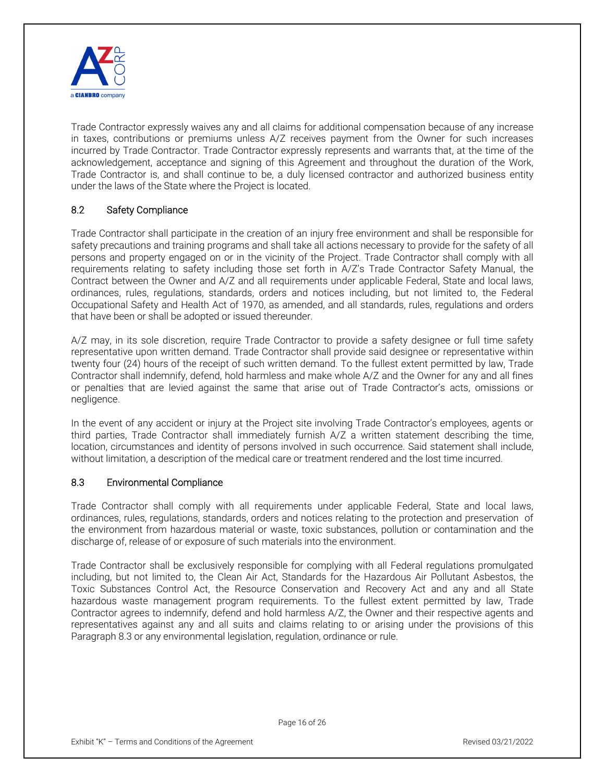

Trade Contractor expressly waives any and all claims for additional compensation because of any increase in taxes, contributions or premiums unless A/Z receives payment from the Owner for such increases incurred by Trade Contractor. Trade Contractor expressly represents and warrants that, at the time of the acknowledgement, acceptance and signing of this Agreement and throughout the duration of the Work, Trade Contractor is, and shall continue to be, a duly licensed contractor and authorized business entity under the laws of the State where the Project is located.

# 8.2 Safety Compliance

Trade Contractor shall participate in the creation of an injury free environment and shall be responsible for safety precautions and training programs and shall take all actions necessary to provide for the safety of all persons and property engaged on or in the vicinity of the Project. Trade Contractor shall comply with all requirements relating to safety including those set forth in A/Z's Trade Contractor Safety Manual, the Contract between the Owner and A/Z and all requirements under applicable Federal, State and local laws, ordinances, rules, regulations, standards, orders and notices including, but not limited to, the Federal Occupational Safety and Health Act of 1970, as amended, and all standards, rules, regulations and orders that have been or shall be adopted or issued thereunder.

A/Z may, in its sole discretion, require Trade Contractor to provide a safety designee or full time safety representative upon written demand. Trade Contractor shall provide said designee or representative within twenty four (24) hours of the receipt of such written demand. To the fullest extent permitted by law, Trade Contractor shall indemnify, defend, hold harmless and make whole A/Z and the Owner for any and all fines or penalties that are levied against the same that arise out of Trade Contractor's acts, omissions or negligence.

In the event of any accident or injury at the Project site involving Trade Contractor's employees, agents or third parties, Trade Contractor shall immediately furnish A/Z a written statement describing the time, location, circumstances and identity of persons involved in such occurrence. Said statement shall include, without limitation, a description of the medical care or treatment rendered and the lost time incurred.

# 8.3 Environmental Compliance

Trade Contractor shall comply with all requirements under applicable Federal, State and local laws, ordinances, rules, regulations, standards, orders and notices relating to the protection and preservation of the environment from hazardous material or waste, toxic substances, pollution or contamination and the discharge of, release of or exposure of such materials into the environment.

Trade Contractor shall be exclusively responsible for complying with all Federal regulations promulgated including, but not limited to, the Clean Air Act, Standards for the Hazardous Air Pollutant Asbestos, the Toxic Substances Control Act, the Resource Conservation and Recovery Act and any and all State hazardous waste management program requirements. To the fullest extent permitted by law, Trade Contractor agrees to indemnify, defend and hold harmless A/Z, the Owner and their respective agents and representatives against any and all suits and claims relating to or arising under the provisions of this Paragraph 8.3 or any environmental legislation, regulation, ordinance or rule.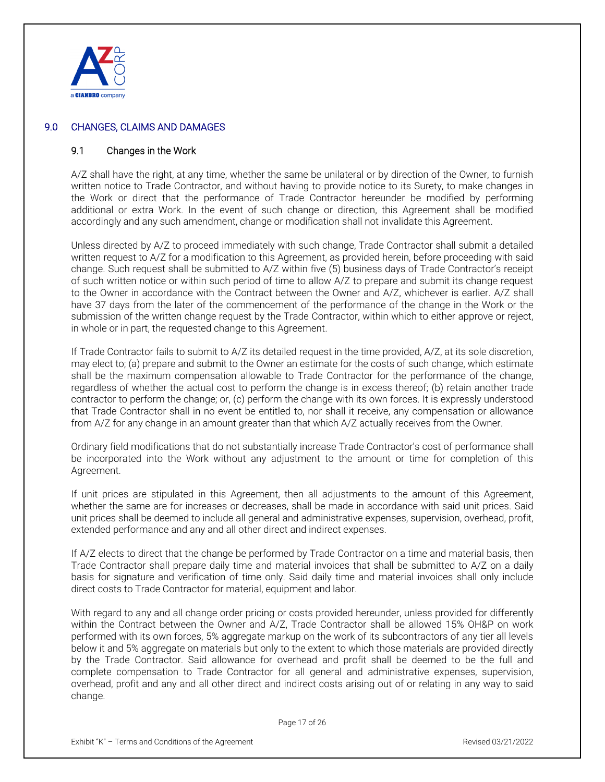

## 9.0 CHANGES, CLAIMS AND DAMAGES

#### 9.1 Changes in the Work

A/Z shall have the right, at any time, whether the same be unilateral or by direction of the Owner, to furnish written notice to Trade Contractor, and without having to provide notice to its Surety, to make changes in the Work or direct that the performance of Trade Contractor hereunder be modified by performing additional or extra Work. In the event of such change or direction, this Agreement shall be modified accordingly and any such amendment, change or modification shall not invalidate this Agreement.

Unless directed by A/Z to proceed immediately with such change, Trade Contractor shall submit a detailed written request to A/Z for a modification to this Agreement, as provided herein, before proceeding with said change. Such request shall be submitted to A/Z within five (5) business days of Trade Contractor's receipt of such written notice or within such period of time to allow A/Z to prepare and submit its change request to the Owner in accordance with the Contract between the Owner and A/Z, whichever is earlier. A/Z shall have 37 days from the later of the commencement of the performance of the change in the Work or the submission of the written change request by the Trade Contractor, within which to either approve or reject, in whole or in part, the requested change to this Agreement.

If Trade Contractor fails to submit to A/Z its detailed request in the time provided, A/Z, at its sole discretion, may elect to; (a) prepare and submit to the Owner an estimate for the costs of such change, which estimate shall be the maximum compensation allowable to Trade Contractor for the performance of the change, regardless of whether the actual cost to perform the change is in excess thereof; (b) retain another trade contractor to perform the change; or, (c) perform the change with its own forces. It is expressly understood that Trade Contractor shall in no event be entitled to, nor shall it receive, any compensation or allowance from A/Z for any change in an amount greater than that which A/Z actually receives from the Owner.

Ordinary field modifications that do not substantially increase Trade Contractor's cost of performance shall be incorporated into the Work without any adjustment to the amount or time for completion of this Agreement.

If unit prices are stipulated in this Agreement, then all adjustments to the amount of this Agreement, whether the same are for increases or decreases, shall be made in accordance with said unit prices. Said unit prices shall be deemed to include all general and administrative expenses, supervision, overhead, profit, extended performance and any and all other direct and indirect expenses.

If A/Z elects to direct that the change be performed by Trade Contractor on a time and material basis, then Trade Contractor shall prepare daily time and material invoices that shall be submitted to A/Z on a daily basis for signature and verification of time only. Said daily time and material invoices shall only include direct costs to Trade Contractor for material, equipment and labor.

With regard to any and all change order pricing or costs provided hereunder, unless provided for differently within the Contract between the Owner and A/Z, Trade Contractor shall be allowed 15% OH&P on work performed with its own forces, 5% aggregate markup on the work of its subcontractors of any tier all levels below it and 5% aggregate on materials but only to the extent to which those materials are provided directly by the Trade Contractor. Said allowance for overhead and profit shall be deemed to be the full and complete compensation to Trade Contractor for all general and administrative expenses, supervision, overhead, profit and any and all other direct and indirect costs arising out of or relating in any way to said change.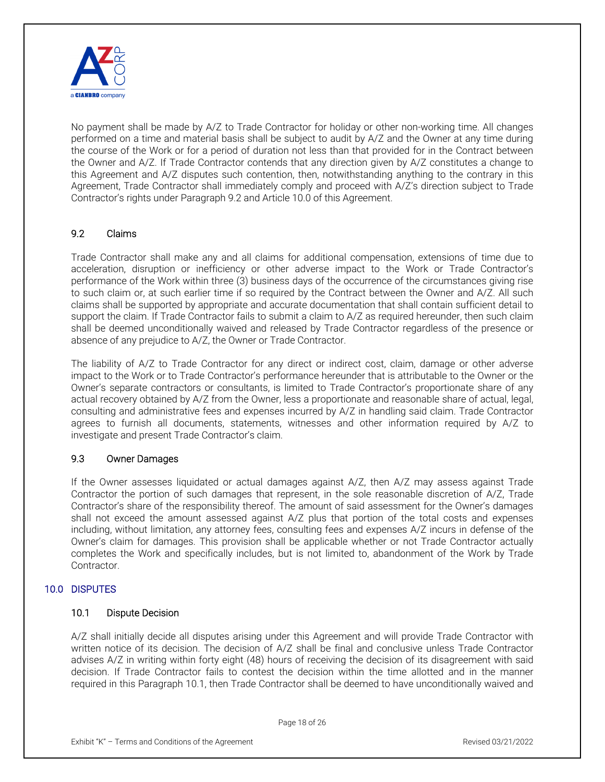

No payment shall be made by A/Z to Trade Contractor for holiday or other non-working time. All changes performed on a time and material basis shall be subject to audit by A/Z and the Owner at any time during the course of the Work or for a period of duration not less than that provided for in the Contract between the Owner and A/Z. If Trade Contractor contends that any direction given by A/Z constitutes a change to this Agreement and A/Z disputes such contention, then, notwithstanding anything to the contrary in this Agreement, Trade Contractor shall immediately comply and proceed with A/Z's direction subject to Trade Contractor's rights under Paragraph 9.2 and Article 10.0 of this Agreement.

# 9.2 Claims

Trade Contractor shall make any and all claims for additional compensation, extensions of time due to acceleration, disruption or inefficiency or other adverse impact to the Work or Trade Contractor's performance of the Work within three (3) business days of the occurrence of the circumstances giving rise to such claim or, at such earlier time if so required by the Contract between the Owner and A/Z. All such claims shall be supported by appropriate and accurate documentation that shall contain sufficient detail to support the claim. If Trade Contractor fails to submit a claim to A/Z as required hereunder, then such claim shall be deemed unconditionally waived and released by Trade Contractor regardless of the presence or absence of any prejudice to A/Z, the Owner or Trade Contractor.

The liability of A/Z to Trade Contractor for any direct or indirect cost, claim, damage or other adverse impact to the Work or to Trade Contractor's performance hereunder that is attributable to the Owner or the Owner's separate contractors or consultants, is limited to Trade Contractor's proportionate share of any actual recovery obtained by A/Z from the Owner, less a proportionate and reasonable share of actual, legal, consulting and administrative fees and expenses incurred by A/Z in handling said claim. Trade Contractor agrees to furnish all documents, statements, witnesses and other information required by A/Z to investigate and present Trade Contractor's claim.

#### 9.3 Owner Damages

If the Owner assesses liquidated or actual damages against A/Z, then A/Z may assess against Trade Contractor the portion of such damages that represent, in the sole reasonable discretion of A/Z, Trade Contractor's share of the responsibility thereof. The amount of said assessment for the Owner's damages shall not exceed the amount assessed against A/Z plus that portion of the total costs and expenses including, without limitation, any attorney fees, consulting fees and expenses A/Z incurs in defense of the Owner's claim for damages. This provision shall be applicable whether or not Trade Contractor actually completes the Work and specifically includes, but is not limited to, abandonment of the Work by Trade Contractor.

#### 10.0 DISPUTES

#### 10.1 Dispute Decision

A/Z shall initially decide all disputes arising under this Agreement and will provide Trade Contractor with written notice of its decision. The decision of A/Z shall be final and conclusive unless Trade Contractor advises A/Z in writing within forty eight (48) hours of receiving the decision of its disagreement with said decision. If Trade Contractor fails to contest the decision within the time allotted and in the manner required in this Paragraph 10.1, then Trade Contractor shall be deemed to have unconditionally waived and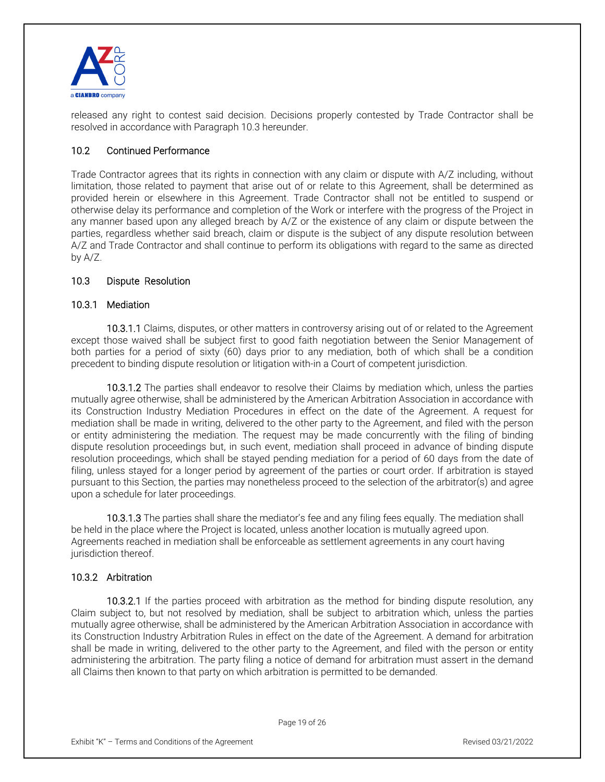

released any right to contest said decision. Decisions properly contested by Trade Contractor shall be resolved in accordance with Paragraph 10.3 hereunder.

## 10.2 Continued Performance

Trade Contractor agrees that its rights in connection with any claim or dispute with A/Z including, without limitation, those related to payment that arise out of or relate to this Agreement, shall be determined as provided herein or elsewhere in this Agreement. Trade Contractor shall not be entitled to suspend or otherwise delay its performance and completion of the Work or interfere with the progress of the Project in any manner based upon any alleged breach by A/Z or the existence of any claim or dispute between the parties, regardless whether said breach, claim or dispute is the subject of any dispute resolution between A/Z and Trade Contractor and shall continue to perform its obligations with regard to the same as directed by A/Z.

#### 10.3 Dispute Resolution

#### 10.3.1 Mediation

 10.3.1.1 Claims, disputes, or other matters in controversy arising out of or related to the Agreement except those waived shall be subject first to good faith negotiation between the Senior Management of both parties for a period of sixty (60) days prior to any mediation, both of which shall be a condition precedent to binding dispute resolution or litigation with-in a Court of competent jurisdiction.

 10.3.1.2 The parties shall endeavor to resolve their Claims by mediation which, unless the parties mutually agree otherwise, shall be administered by the American Arbitration Association in accordance with its Construction Industry Mediation Procedures in effect on the date of the Agreement. A request for mediation shall be made in writing, delivered to the other party to the Agreement, and filed with the person or entity administering the mediation. The request may be made concurrently with the filing of binding dispute resolution proceedings but, in such event, mediation shall proceed in advance of binding dispute resolution proceedings, which shall be stayed pending mediation for a period of 60 days from the date of filing, unless stayed for a longer period by agreement of the parties or court order. If arbitration is stayed pursuant to this Section, the parties may nonetheless proceed to the selection of the arbitrator(s) and agree upon a schedule for later proceedings.

 10.3.1.3 The parties shall share the mediator's fee and any filing fees equally. The mediation shall be held in the place where the Project is located, unless another location is mutually agreed upon. Agreements reached in mediation shall be enforceable as settlement agreements in any court having jurisdiction thereof.

# 10.3.2 Arbitration

 10.3.2.1 If the parties proceed with arbitration as the method for binding dispute resolution, any Claim subject to, but not resolved by mediation, shall be subject to arbitration which, unless the parties mutually agree otherwise, shall be administered by the American Arbitration Association in accordance with its Construction Industry Arbitration Rules in effect on the date of the Agreement. A demand for arbitration shall be made in writing, delivered to the other party to the Agreement, and filed with the person or entity administering the arbitration. The party filing a notice of demand for arbitration must assert in the demand all Claims then known to that party on which arbitration is permitted to be demanded.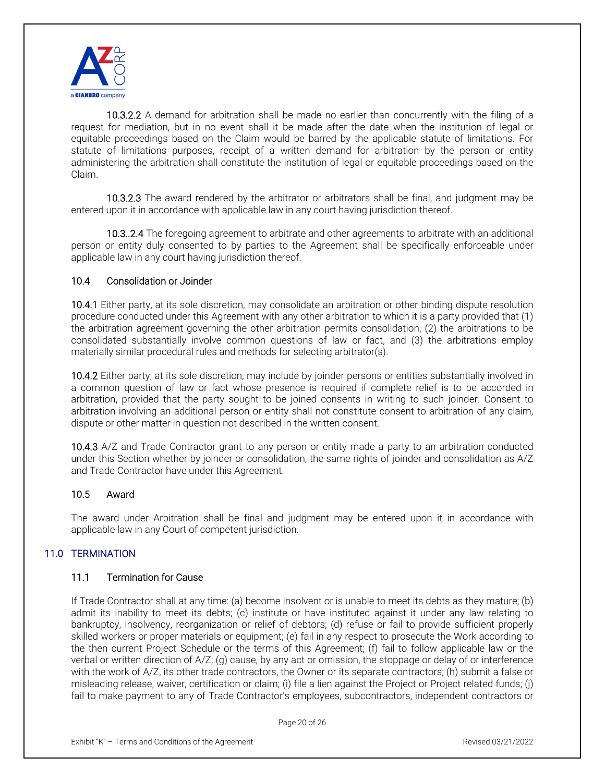

 10.3.2.2 A demand for arbitration shall be made no earlier than concurrently with the filing of a request for mediation, but in no event shall it be made after the date when the institution of legal or equitable proceedings based on the Claim would be barred by the applicable statute of limitations. For statute of limitations purposes, receipt of a written demand for arbitration by the person or entity administering the arbitration shall constitute the institution of legal or equitable proceedings based on the Claim.

 10.3.2.3 The award rendered by the arbitrator or arbitrators shall be final, and judgment may be entered upon it in accordance with applicable law in any court having jurisdiction thereof.

 10.3..2.4 The foregoing agreement to arbitrate and other agreements to arbitrate with an additional person or entity duly consented to by parties to the Agreement shall be specifically enforceable under applicable law in any court having jurisdiction thereof.

#### 10.4 Consolidation or Joinder

10.4.1 Either party, at its sole discretion, may consolidate an arbitration or other binding dispute resolution procedure conducted under this Agreement with any other arbitration to which it is a party provided that (1) the arbitration agreement governing the other arbitration permits consolidation, (2) the arbitrations to be consolidated substantially involve common questions of law or fact, and (3) the arbitrations employ materially similar procedural rules and methods for selecting arbitrator(s).

10.4.2 Either party, at its sole discretion, may include by joinder persons or entities substantially involved in a common question of law or fact whose presence is required if complete relief is to be accorded in arbitration, provided that the party sought to be joined consents in writing to such joinder. Consent to arbitration involving an additional person or entity shall not constitute consent to arbitration of any claim, dispute or other matter in question not described in the written consent.

10.4.3 A/Z and Trade Contractor grant to any person or entity made a party to an arbitration conducted under this Section whether by joinder or consolidation, the same rights of joinder and consolidation as A/Z and Trade Contractor have under this Agreement.

#### 10.5 Award

The award under Arbitration shall be final and judgment may be entered upon it in accordance with applicable law in any Court of competent jurisdiction.

## 11.0 TERMINATION

#### 11.1 Termination for Cause

If Trade Contractor shall at any time: (a) become insolvent or is unable to meet its debts as they mature; (b) admit its inability to meet its debts; (c) institute or have instituted against it under any law relating to bankruptcy, insolvency, reorganization or relief of debtors; (d) refuse or fail to provide sufficient properly skilled workers or proper materials or equipment; (e) fail in any respect to prosecute the Work according to the then current Project Schedule or the terms of this Agreement; (f) fail to follow applicable law or the verbal or written direction of A/Z; (g) cause, by any act or omission, the stoppage or delay of or interference with the work of A/Z, its other trade contractors, the Owner or its separate contractors; (h) submit a false or misleading release, waiver, certification or claim; (i) file a lien against the Project or Project related funds; (j) fail to make payment to any of Trade Contractor's employees, subcontractors, independent contractors or

Page 20 of 26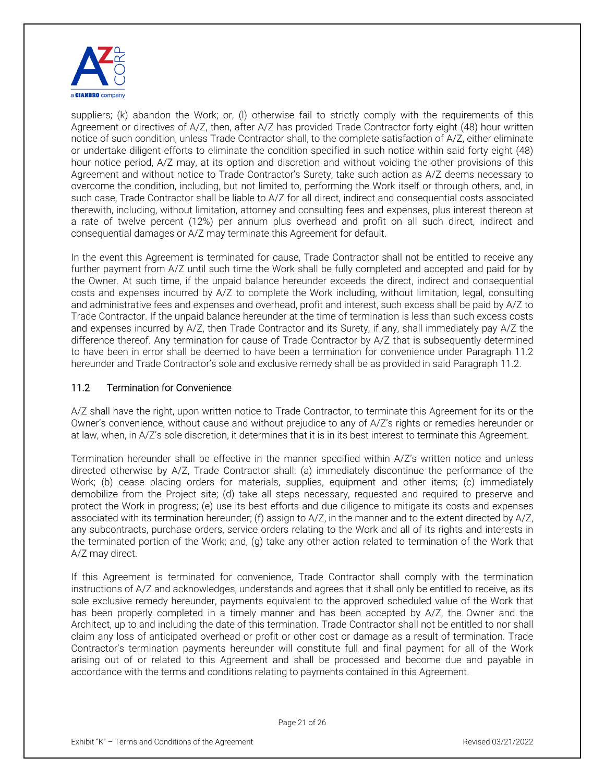

suppliers; (k) abandon the Work; or, (I) otherwise fail to strictly comply with the requirements of this Agreement or directives of A/Z, then, after A/Z has provided Trade Contractor forty eight (48) hour written notice of such condition, unless Trade Contractor shall, to the complete satisfaction of A/Z, either eliminate or undertake diligent efforts to eliminate the condition specified in such notice within said forty eight (48) hour notice period, A/Z may, at its option and discretion and without voiding the other provisions of this Agreement and without notice to Trade Contractor's Surety, take such action as A/Z deems necessary to overcome the condition, including, but not limited to, performing the Work itself or through others, and, in such case, Trade Contractor shall be liable to A/Z for all direct, indirect and consequential costs associated therewith, including, without limitation, attorney and consulting fees and expenses, plus interest thereon at a rate of twelve percent (12%) per annum plus overhead and profit on all such direct, indirect and consequential damages or A/Z may terminate this Agreement for default.

In the event this Agreement is terminated for cause, Trade Contractor shall not be entitled to receive any further payment from A/Z until such time the Work shall be fully completed and accepted and paid for by the Owner. At such time, if the unpaid balance hereunder exceeds the direct, indirect and consequential costs and expenses incurred by A/Z to complete the Work including, without limitation, legal, consulting and administrative fees and expenses and overhead, profit and interest, such excess shall be paid by A/Z to Trade Contractor. If the unpaid balance hereunder at the time of termination is less than such excess costs and expenses incurred by A/Z, then Trade Contractor and its Surety, if any, shall immediately pay A/Z the difference thereof. Any termination for cause of Trade Contractor by A/Z that is subsequently determined to have been in error shall be deemed to have been a termination for convenience under Paragraph 11.2 hereunder and Trade Contractor's sole and exclusive remedy shall be as provided in said Paragraph 11.2.

## 11.2 Termination for Convenience

A/Z shall have the right, upon written notice to Trade Contractor, to terminate this Agreement for its or the Owner's convenience, without cause and without prejudice to any of A/Z's rights or remedies hereunder or at law, when, in A/Z's sole discretion, it determines that it is in its best interest to terminate this Agreement.

Termination hereunder shall be effective in the manner specified within A/Z's written notice and unless directed otherwise by A/Z, Trade Contractor shall: (a) immediately discontinue the performance of the Work; (b) cease placing orders for materials, supplies, equipment and other items; (c) immediately demobilize from the Project site; (d) take all steps necessary, requested and required to preserve and protect the Work in progress; (e) use its best efforts and due diligence to mitigate its costs and expenses associated with its termination hereunder; (f) assign to A/Z, in the manner and to the extent directed by A/Z, any subcontracts, purchase orders, service orders relating to the Work and all of its rights and interests in the terminated portion of the Work; and, (g) take any other action related to termination of the Work that A/Z may direct.

If this Agreement is terminated for convenience, Trade Contractor shall comply with the termination instructions of A/Z and acknowledges, understands and agrees that it shall only be entitled to receive, as its sole exclusive remedy hereunder, payments equivalent to the approved scheduled value of the Work that has been properly completed in a timely manner and has been accepted by A/Z, the Owner and the Architect, up to and including the date of this termination. Trade Contractor shall not be entitled to nor shall claim any loss of anticipated overhead or profit or other cost or damage as a result of termination. Trade Contractor's termination payments hereunder will constitute full and final payment for all of the Work arising out of or related to this Agreement and shall be processed and become due and payable in accordance with the terms and conditions relating to payments contained in this Agreement.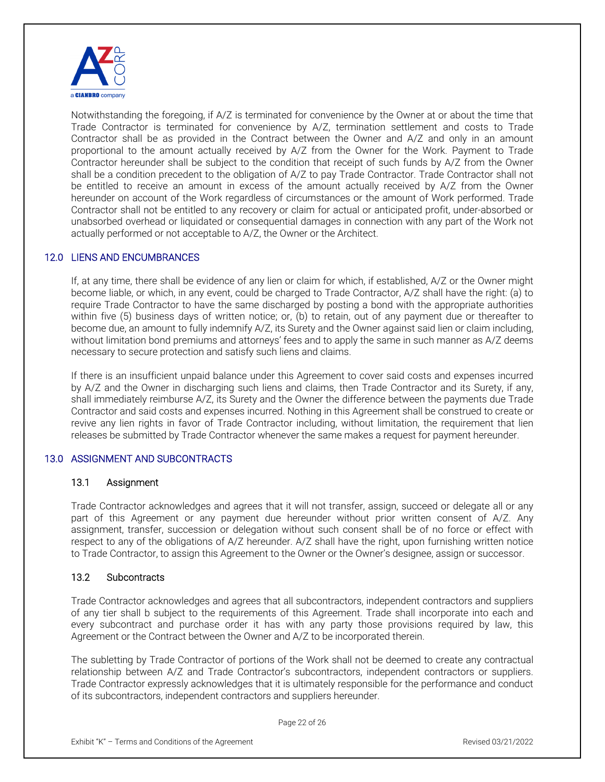

Notwithstanding the foregoing, if A/Z is terminated for convenience by the Owner at or about the time that Trade Contractor is terminated for convenience by A/Z, termination settlement and costs to Trade Contractor shall be as provided in the Contract between the Owner and A/Z and only in an amount proportional to the amount actually received by A/Z from the Owner for the Work. Payment to Trade Contractor hereunder shall be subject to the condition that receipt of such funds by A/Z from the Owner shall be a condition precedent to the obligation of A/Z to pay Trade Contractor. Trade Contractor shall not be entitled to receive an amount in excess of the amount actually received by A/Z from the Owner hereunder on account of the Work regardless of circumstances or the amount of Work performed. Trade Contractor shall not be entitled to any recovery or claim for actual or anticipated profit, under-absorbed or unabsorbed overhead or liquidated or consequential damages in connection with any part of the Work not actually performed or not acceptable to A/Z, the Owner or the Architect.

## 12.0 LIENS AND ENCUMBRANCES

If, at any time, there shall be evidence of any lien or claim for which, if established, A/Z or the Owner might become liable, or which, in any event, could be charged to Trade Contractor, A/Z shall have the right: (a) to require Trade Contractor to have the same discharged by posting a bond with the appropriate authorities within five (5) business days of written notice; or, (b) to retain, out of any payment due or thereafter to become due, an amount to fully indemnify A/Z, its Surety and the Owner against said lien or claim including, without limitation bond premiums and attorneys' fees and to apply the same in such manner as A/Z deems necessary to secure protection and satisfy such liens and claims.

If there is an insufficient unpaid balance under this Agreement to cover said costs and expenses incurred by A/Z and the Owner in discharging such liens and claims, then Trade Contractor and its Surety, if any, shall immediately reimburse A/Z, its Surety and the Owner the difference between the payments due Trade Contractor and said costs and expenses incurred. Nothing in this Agreement shall be construed to create or revive any lien rights in favor of Trade Contractor including, without limitation, the requirement that lien releases be submitted by Trade Contractor whenever the same makes a request for payment hereunder.

#### 13.0 ASSIGNMENT AND SUBCONTRACTS

#### 13.1 Assignment

Trade Contractor acknowledges and agrees that it will not transfer, assign, succeed or delegate all or any part of this Agreement or any payment due hereunder without prior written consent of A/Z. Any assignment, transfer, succession or delegation without such consent shall be of no force or effect with respect to any of the obligations of A/Z hereunder. A/Z shall have the right, upon furnishing written notice to Trade Contractor, to assign this Agreement to the Owner or the Owner's designee, assign or successor.

#### 13.2 Subcontracts

Trade Contractor acknowledges and agrees that all subcontractors, independent contractors and suppliers of any tier shall b subject to the requirements of this Agreement. Trade shall incorporate into each and every subcontract and purchase order it has with any party those provisions required by law, this Agreement or the Contract between the Owner and A/Z to be incorporated therein.

The subletting by Trade Contractor of portions of the Work shall not be deemed to create any contractual relationship between A/Z and Trade Contractor's subcontractors, independent contractors or suppliers. Trade Contractor expressly acknowledges that it is ultimately responsible for the performance and conduct of its subcontractors, independent contractors and suppliers hereunder.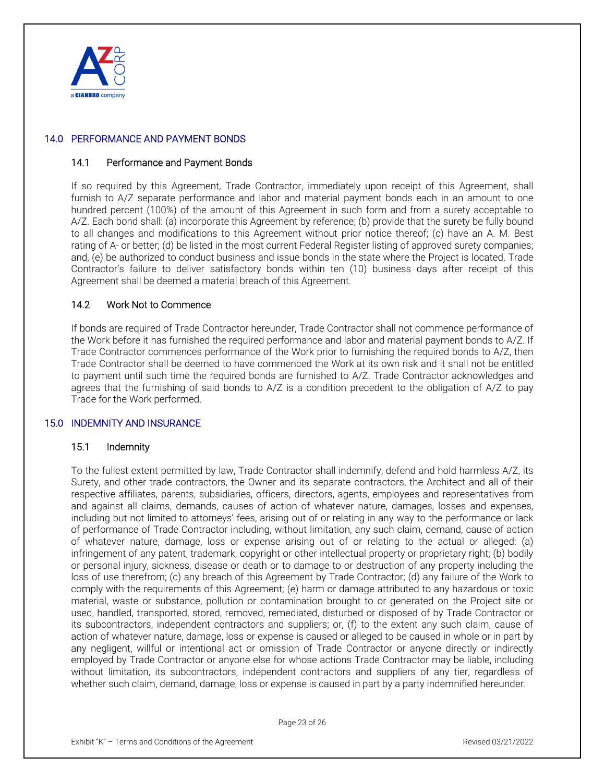

## 14.0 PERFORMANCE AND PAYMENT BONDS

#### 14.1 Performance and Payment Bonds

If so required by this Agreement, Trade Contractor, immediately upon receipt of this Agreement, shall furnish to A/Z separate performance and labor and material payment bonds each in an amount to one hundred percent (100%) of the amount of this Agreement in such form and from a surety acceptable to A/Z. Each bond shall: (a) incorporate this Agreement by reference; (b) provide that the surety be fully bound to all changes and modifications to this Agreement without prior notice thereof; (c) have an A. M. Best rating of A- or better; (d) be listed in the most current Federal Register listing of approved surety companies; and, (e) be authorized to conduct business and issue bonds in the state where the Project is located. Trade Contractor's failure to deliver satisfactory bonds within ten (10) business days after receipt of this Agreement shall be deemed a material breach of this Agreement.

#### 14.2 Work Not to Commence

If bonds are required of Trade Contractor hereunder, Trade Contractor shall not commence performance of the Work before it has furnished the required performance and labor and material payment bonds to A/Z. If Trade Contractor commences performance of the Work prior to furnishing the required bonds to A/Z, then Trade Contractor shall be deemed to have commenced the Work at its own risk and it shall not be entitled to payment until such time the required bonds are furnished to A/Z. Trade Contractor acknowledges and agrees that the furnishing of said bonds to A/Z is a condition precedent to the obligation of A/Z to pay Trade for the Work performed.

#### 15.0 INDEMNITY AND INSURANCE

#### 15.1 Indemnity

To the fullest extent permitted by law, Trade Contractor shall indemnify, defend and hold harmless A/Z, its Surety, and other trade contractors, the Owner and its separate contractors, the Architect and all of their respective affiliates, parents, subsidiaries, officers, directors, agents, employees and representatives from and against all claims, demands, causes of action of whatever nature, damages, losses and expenses, including but not limited to attorneys' fees, arising out of or relating in any way to the performance or lack of performance of Trade Contractor including, without limitation, any such claim, demand, cause of action of whatever nature, damage, loss or expense arising out of or relating to the actual or alleged: (a) infringement of any patent, trademark, copyright or other intellectual property or proprietary right; (b) bodily or personal injury, sickness, disease or death or to damage to or destruction of any property including the loss of use therefrom; (c) any breach of this Agreement by Trade Contractor; (d) any failure of the Work to comply with the requirements of this Agreement; (e) harm or damage attributed to any hazardous or toxic material, waste or substance, pollution or contamination brought to or generated on the Project site or used, handled, transported, stored, removed, remediated, disturbed or disposed of by Trade Contractor or its subcontractors, independent contractors and suppliers; or, (f) to the extent any such claim, cause of action of whatever nature, damage, loss or expense is caused or alleged to be caused in whole or in part by any negligent, willful or intentional act or omission of Trade Contractor or anyone directly or indirectly employed by Trade Contractor or anyone else for whose actions Trade Contractor may be liable, including without limitation, its subcontractors, independent contractors and suppliers of any tier, regardless of whether such claim, demand, damage, loss or expense is caused in part by a party indemnified hereunder.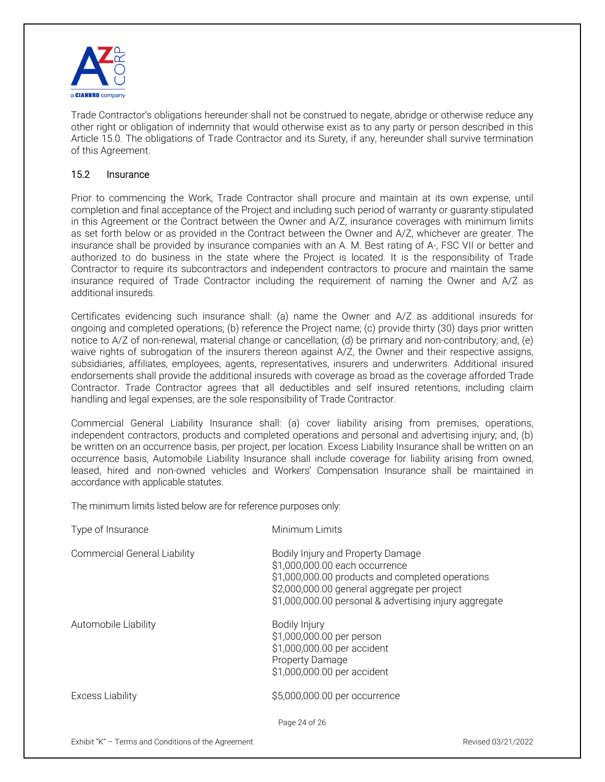

Trade Contractor's obligations hereunder shall not be construed to negate, abridge or otherwise reduce any other right or obligation of indemnity that would otherwise exist as to any party or person described in this Article 15.0. The obligations of Trade Contractor and its Surety, if any, hereunder shall survive termination of this Agreement.

## 15.2 Insurance

Prior to commencing the Work, Trade Contractor shall procure and maintain at its own expense, until completion and final acceptance of the Project and including such period of warranty or guaranty stipulated in this Agreement or the Contract between the Owner and A/Z, insurance coverages with minimum limits as set forth below or as provided in the Contract between the Owner and A/Z, whichever are greater. The insurance shall be provided by insurance companies with an A. M. Best rating of A-, FSC VII or better and authorized to do business in the state where the Project is located. It is the responsibility of Trade Contractor to require its subcontractors and independent contractors to procure and maintain the same insurance required of Trade Contractor including the requirement of naming the Owner and A/Z as additional insureds.

Certificates evidencing such insurance shall: (a) name the Owner and A/Z as additional insureds for ongoing and completed operations; (b) reference the Project name; (c) provide thirty (30) days prior written notice to A/Z of non-renewal, material change or cancellation; (d) be primary and non-contributory; and, (e) waive rights of subrogation of the insurers thereon against A/Z, the Owner and their respective assigns, subsidiaries, affiliates, employees, agents, representatives, insurers and underwriters. Additional insured endorsements shall provide the additional insureds with coverage as broad as the coverage afforded Trade Contractor. Trade Contractor agrees that all deductibles and self insured retentions, including claim handling and legal expenses, are the sole responsibility of Trade Contractor.

Commercial General Liability Insurance shall: (a) cover liability arising from premises, operations, independent contractors, products and completed operations and personal and advertising injury; and, (b) be written on an occurrence basis, per project, per location. Excess Liability Insurance shall be written on an occurrence basis, Automobile Liability Insurance shall include coverage for liability arising from owned, leased, hired and non-owned vehicles and Workers' Compensation Insurance shall be maintained in accordance with applicable statutes.

The minimum limits listed below are for reference purposes only:

| Type of Insurance                   | Minimum Limits                                                                                                                                                                                                                    |
|-------------------------------------|-----------------------------------------------------------------------------------------------------------------------------------------------------------------------------------------------------------------------------------|
| <b>Commercial General Liability</b> | Bodily Injury and Property Damage<br>\$1,000,000.00 each occurrence<br>\$1,000,000.00 products and completed operations<br>\$2,000,000.00 general aggregate per project<br>\$1,000,000.00 personal & advertising injury aggregate |
| Automobile Liability                | Bodily Injury<br>\$1,000,000.00 per person<br>\$1,000,000.00 per accident<br><b>Property Damage</b><br>\$1,000,000.00 per accident                                                                                                |
| <b>Excess Liability</b>             | \$5,000,000.00 per occurrence                                                                                                                                                                                                     |
|                                     | Page 24 of 26                                                                                                                                                                                                                     |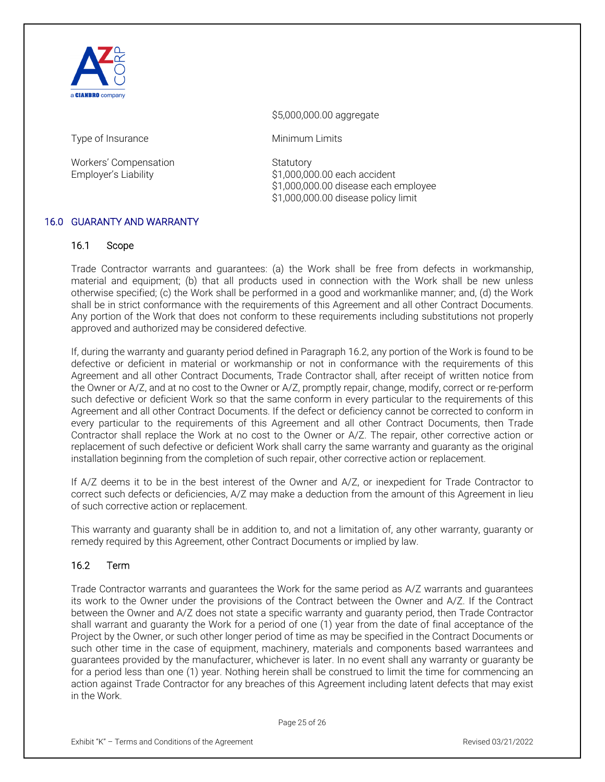

\$5,000,000.00 aggregate

Type of Insurance Minimum Limits

Workers' Compensation Statutory

Employer's Liability  $$1,000,000.00$  each accident \$1,000,000.00 disease each employee \$1,000,000.00 disease policy limit

# 16.0 GUARANTY AND WARRANTY

## 16.1 Scope

Trade Contractor warrants and guarantees: (a) the Work shall be free from defects in workmanship, material and equipment; (b) that all products used in connection with the Work shall be new unless otherwise specified; (c) the Work shall be performed in a good and workmanlike manner; and, (d) the Work shall be in strict conformance with the requirements of this Agreement and all other Contract Documents. Any portion of the Work that does not conform to these requirements including substitutions not properly approved and authorized may be considered defective.

If, during the warranty and guaranty period defined in Paragraph 16.2, any portion of the Work is found to be defective or deficient in material or workmanship or not in conformance with the requirements of this Agreement and all other Contract Documents, Trade Contractor shall, after receipt of written notice from the Owner or A/Z, and at no cost to the Owner or A/Z, promptly repair, change, modify, correct or re-perform such defective or deficient Work so that the same conform in every particular to the requirements of this Agreement and all other Contract Documents. If the defect or deficiency cannot be corrected to conform in every particular to the requirements of this Agreement and all other Contract Documents, then Trade Contractor shall replace the Work at no cost to the Owner or A/Z. The repair, other corrective action or replacement of such defective or deficient Work shall carry the same warranty and guaranty as the original installation beginning from the completion of such repair, other corrective action or replacement.

If A/Z deems it to be in the best interest of the Owner and A/Z, or inexpedient for Trade Contractor to correct such defects or deficiencies, A/Z may make a deduction from the amount of this Agreement in lieu of such corrective action or replacement.

This warranty and guaranty shall be in addition to, and not a limitation of, any other warranty, guaranty or remedy required by this Agreement, other Contract Documents or implied by law.

#### 16.2 Term

Trade Contractor warrants and guarantees the Work for the same period as A/Z warrants and guarantees its work to the Owner under the provisions of the Contract between the Owner and A/Z. If the Contract between the Owner and A/Z does not state a specific warranty and guaranty period, then Trade Contractor shall warrant and guaranty the Work for a period of one (1) year from the date of final acceptance of the Project by the Owner, or such other longer period of time as may be specified in the Contract Documents or such other time in the case of equipment, machinery, materials and components based warrantees and guarantees provided by the manufacturer, whichever is later. In no event shall any warranty or guaranty be for a period less than one (1) year. Nothing herein shall be construed to limit the time for commencing an action against Trade Contractor for any breaches of this Agreement including latent defects that may exist in the Work.